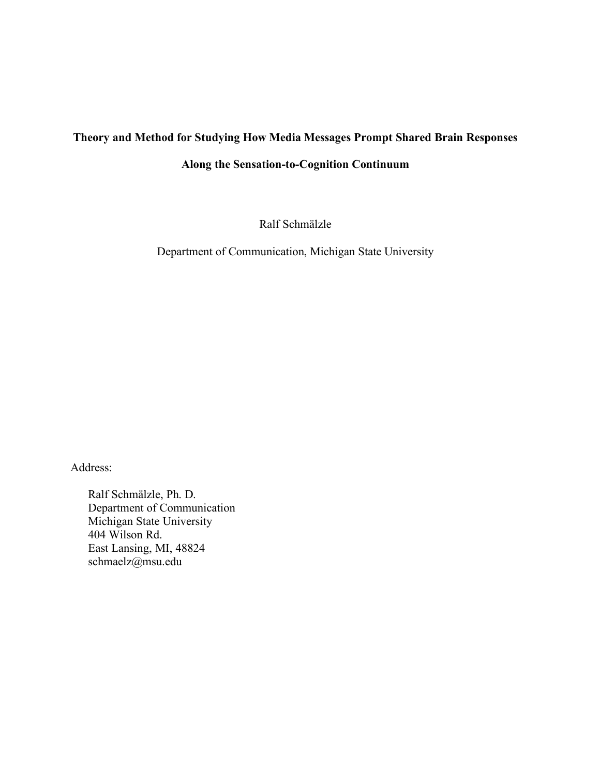## **Theory and Method for Studying How Media Messages Prompt Shared Brain Responses**

### **Along the Sensation-to-Cognition Continuum**

Ralf Schmälzle

Department of Communication, Michigan State University

Address:

Ralf Schmälzle, Ph. D. Department of Communication Michigan State University 404 Wilson Rd. East Lansing, MI, 48824 schmaelz@msu.edu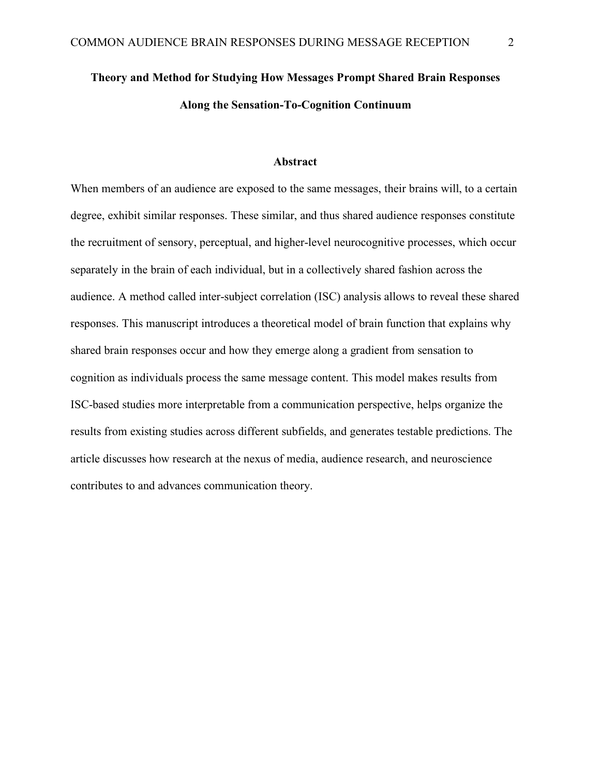# **Theory and Method for Studying How Messages Prompt Shared Brain Responses Along the Sensation-To-Cognition Continuum**

### **Abstract**

When members of an audience are exposed to the same messages, their brains will, to a certain degree, exhibit similar responses. These similar, and thus shared audience responses constitute the recruitment of sensory, perceptual, and higher-level neurocognitive processes, which occur separately in the brain of each individual, but in a collectively shared fashion across the audience. A method called inter-subject correlation (ISC) analysis allows to reveal these shared responses. This manuscript introduces a theoretical model of brain function that explains why shared brain responses occur and how they emerge along a gradient from sensation to cognition as individuals process the same message content. This model makes results from ISC-based studies more interpretable from a communication perspective, helps organize the results from existing studies across different subfields, and generates testable predictions. The article discusses how research at the nexus of media, audience research, and neuroscience contributes to and advances communication theory.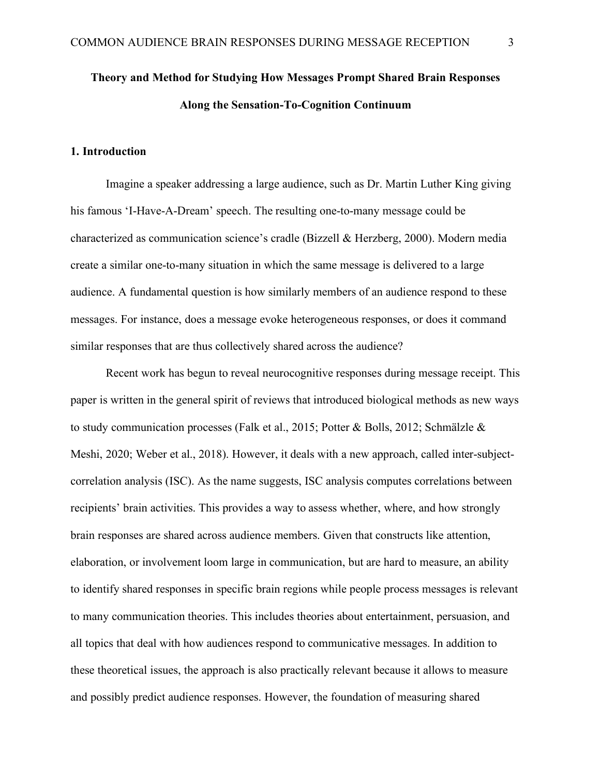# **Theory and Method for Studying How Messages Prompt Shared Brain Responses Along the Sensation-To-Cognition Continuum**

### **1. Introduction**

Imagine a speaker addressing a large audience, such as Dr. Martin Luther King giving his famous 'I-Have-A-Dream' speech. The resulting one-to-many message could be characterized as communication science's cradle (Bizzell & Herzberg, 2000). Modern media create a similar one-to-many situation in which the same message is delivered to a large audience. A fundamental question is how similarly members of an audience respond to these messages. For instance, does a message evoke heterogeneous responses, or does it command similar responses that are thus collectively shared across the audience?

Recent work has begun to reveal neurocognitive responses during message receipt. This paper is written in the general spirit of reviews that introduced biological methods as new ways to study communication processes (Falk et al., 2015; Potter & Bolls, 2012; Schmälzle & Meshi, 2020; Weber et al., 2018). However, it deals with a new approach, called inter-subjectcorrelation analysis (ISC). As the name suggests, ISC analysis computes correlations between recipients' brain activities. This provides a way to assess whether, where, and how strongly brain responses are shared across audience members. Given that constructs like attention, elaboration, or involvement loom large in communication, but are hard to measure, an ability to identify shared responses in specific brain regions while people process messages is relevant to many communication theories. This includes theories about entertainment, persuasion, and all topics that deal with how audiences respond to communicative messages. In addition to these theoretical issues, the approach is also practically relevant because it allows to measure and possibly predict audience responses. However, the foundation of measuring shared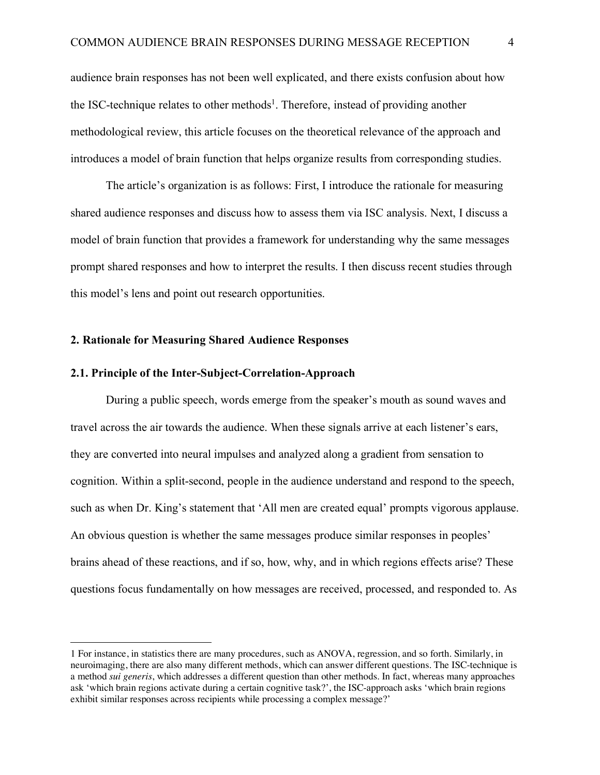audience brain responses has not been well explicated, and there exists confusion about how the ISC-technique relates to other methods<sup>1</sup>. Therefore, instead of providing another methodological review, this article focuses on the theoretical relevance of the approach and introduces a model of brain function that helps organize results from corresponding studies.

The article's organization is as follows: First, I introduce the rationale for measuring shared audience responses and discuss how to assess them via ISC analysis. Next, I discuss a model of brain function that provides a framework for understanding why the same messages prompt shared responses and how to interpret the results. I then discuss recent studies through this model's lens and point out research opportunities.

#### **2. Rationale for Measuring Shared Audience Responses**

### **2.1. Principle of the Inter-Subject-Correlation-Approach**

 $\overline{a}$ 

During a public speech, words emerge from the speaker's mouth as sound waves and travel across the air towards the audience. When these signals arrive at each listener's ears, they are converted into neural impulses and analyzed along a gradient from sensation to cognition. Within a split-second, people in the audience understand and respond to the speech, such as when Dr. King's statement that 'All men are created equal' prompts vigorous applause. An obvious question is whether the same messages produce similar responses in peoples' brains ahead of these reactions, and if so, how, why, and in which regions effects arise? These questions focus fundamentally on how messages are received, processed, and responded to. As

<sup>1</sup> For instance, in statistics there are many procedures, such as ANOVA, regression, and so forth. Similarly, in neuroimaging, there are also many different methods, which can answer different questions. The ISC-technique is a method *sui generis*, which addresses a different question than other methods. In fact, whereas many approaches ask 'which brain regions activate during a certain cognitive task?', the ISC-approach asks 'which brain regions exhibit similar responses across recipients while processing a complex message?'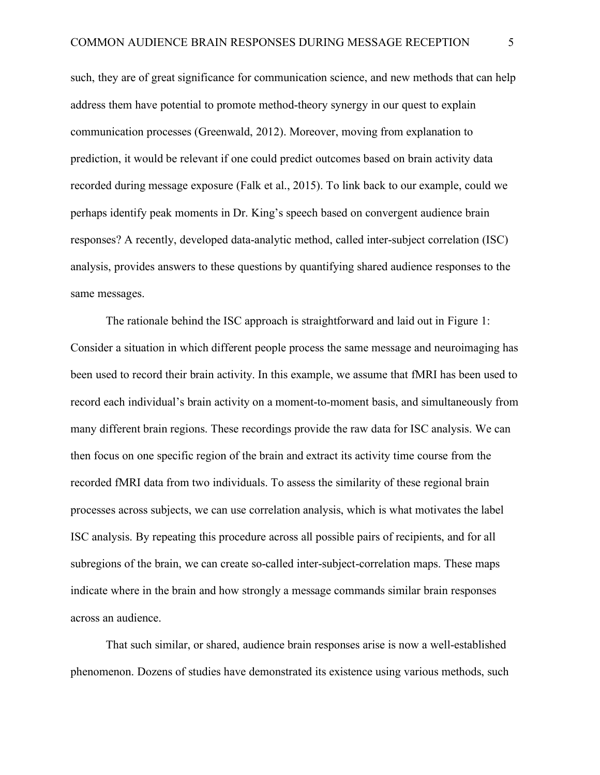such, they are of great significance for communication science, and new methods that can help address them have potential to promote method-theory synergy in our quest to explain communication processes (Greenwald, 2012). Moreover, moving from explanation to prediction, it would be relevant if one could predict outcomes based on brain activity data recorded during message exposure (Falk et al., 2015). To link back to our example, could we perhaps identify peak moments in Dr. King's speech based on convergent audience brain responses? A recently, developed data-analytic method, called inter-subject correlation (ISC) analysis, provides answers to these questions by quantifying shared audience responses to the same messages.

The rationale behind the ISC approach is straightforward and laid out in Figure 1: Consider a situation in which different people process the same message and neuroimaging has been used to record their brain activity. In this example, we assume that fMRI has been used to record each individual's brain activity on a moment-to-moment basis, and simultaneously from many different brain regions. These recordings provide the raw data for ISC analysis. We can then focus on one specific region of the brain and extract its activity time course from the recorded fMRI data from two individuals. To assess the similarity of these regional brain processes across subjects, we can use correlation analysis, which is what motivates the label ISC analysis. By repeating this procedure across all possible pairs of recipients, and for all subregions of the brain, we can create so-called inter-subject-correlation maps. These maps indicate where in the brain and how strongly a message commands similar brain responses across an audience.

That such similar, or shared, audience brain responses arise is now a well-established phenomenon. Dozens of studies have demonstrated its existence using various methods, such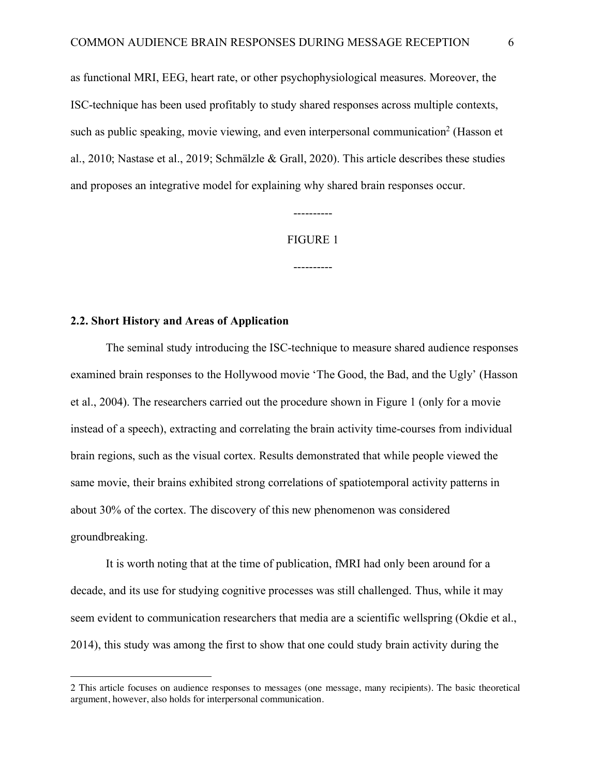as functional MRI, EEG, heart rate, or other psychophysiological measures. Moreover, the ISC-technique has been used profitably to study shared responses across multiple contexts, such as public speaking, movie viewing, and even interpersonal communication<sup>2</sup> (Hasson et al., 2010; Nastase et al., 2019; Schmälzle & Grall, 2020). This article describes these studies and proposes an integrative model for explaining why shared brain responses occur.

#### FIGURE 1

----------

----------

#### **2.2. Short History and Areas of Application**

 $\overline{a}$ 

The seminal study introducing the ISC-technique to measure shared audience responses examined brain responses to the Hollywood movie 'The Good, the Bad, and the Ugly' (Hasson et al., 2004). The researchers carried out the procedure shown in Figure 1 (only for a movie instead of a speech), extracting and correlating the brain activity time-courses from individual brain regions, such as the visual cortex. Results demonstrated that while people viewed the same movie, their brains exhibited strong correlations of spatiotemporal activity patterns in about 30% of the cortex. The discovery of this new phenomenon was considered groundbreaking.

It is worth noting that at the time of publication, fMRI had only been around for a decade, and its use for studying cognitive processes was still challenged. Thus, while it may seem evident to communication researchers that media are a scientific wellspring (Okdie et al., 2014), this study was among the first to show that one could study brain activity during the

<sup>2</sup> This article focuses on audience responses to messages (one message, many recipients). The basic theoretical argument, however, also holds for interpersonal communication.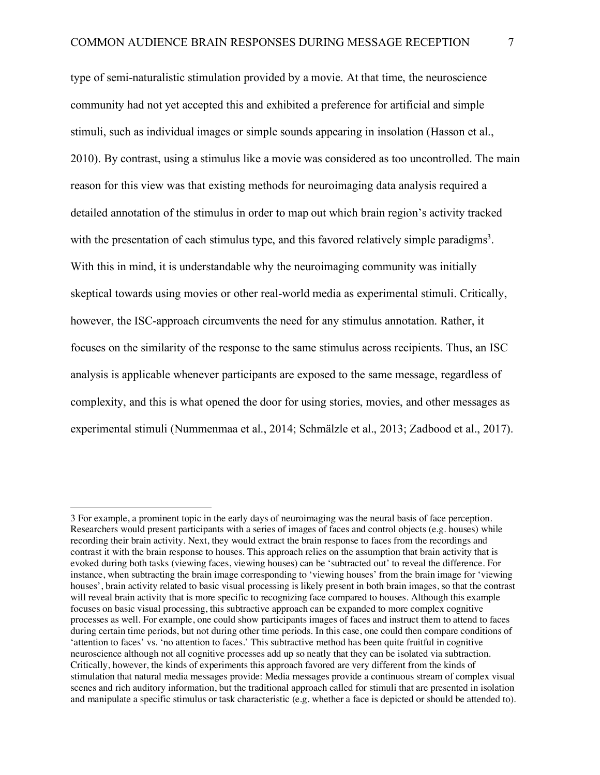type of semi-naturalistic stimulation provided by a movie. At that time, the neuroscience community had not yet accepted this and exhibited a preference for artificial and simple stimuli, such as individual images or simple sounds appearing in insolation (Hasson et al., 2010). By contrast, using a stimulus like a movie was considered as too uncontrolled. The main reason for this view was that existing methods for neuroimaging data analysis required a detailed annotation of the stimulus in order to map out which brain region's activity tracked with the presentation of each stimulus type, and this favored relatively simple paradigms<sup>3</sup>. With this in mind, it is understandable why the neuroimaging community was initially skeptical towards using movies or other real-world media as experimental stimuli. Critically, however, the ISC-approach circumvents the need for any stimulus annotation. Rather, it focuses on the similarity of the response to the same stimulus across recipients. Thus, an ISC analysis is applicable whenever participants are exposed to the same message, regardless of complexity, and this is what opened the door for using stories, movies, and other messages as experimental stimuli (Nummenmaa et al., 2014; Schmälzle et al., 2013; Zadbood et al., 2017).

 $\overline{a}$ 

<sup>3</sup> For example, a prominent topic in the early days of neuroimaging was the neural basis of face perception. Researchers would present participants with a series of images of faces and control objects (e.g. houses) while recording their brain activity. Next, they would extract the brain response to faces from the recordings and contrast it with the brain response to houses. This approach relies on the assumption that brain activity that is evoked during both tasks (viewing faces, viewing houses) can be 'subtracted out' to reveal the difference. For instance, when subtracting the brain image corresponding to 'viewing houses' from the brain image for 'viewing houses', brain activity related to basic visual processing is likely present in both brain images, so that the contrast will reveal brain activity that is more specific to recognizing face compared to houses. Although this example focuses on basic visual processing, this subtractive approach can be expanded to more complex cognitive processes as well. For example, one could show participants images of faces and instruct them to attend to faces during certain time periods, but not during other time periods. In this case, one could then compare conditions of 'attention to faces' vs. 'no attention to faces.' This subtractive method has been quite fruitful in cognitive neuroscience although not all cognitive processes add up so neatly that they can be isolated via subtraction. Critically, however, the kinds of experiments this approach favored are very different from the kinds of stimulation that natural media messages provide: Media messages provide a continuous stream of complex visual scenes and rich auditory information, but the traditional approach called for stimuli that are presented in isolation and manipulate a specific stimulus or task characteristic (e.g. whether a face is depicted or should be attended to).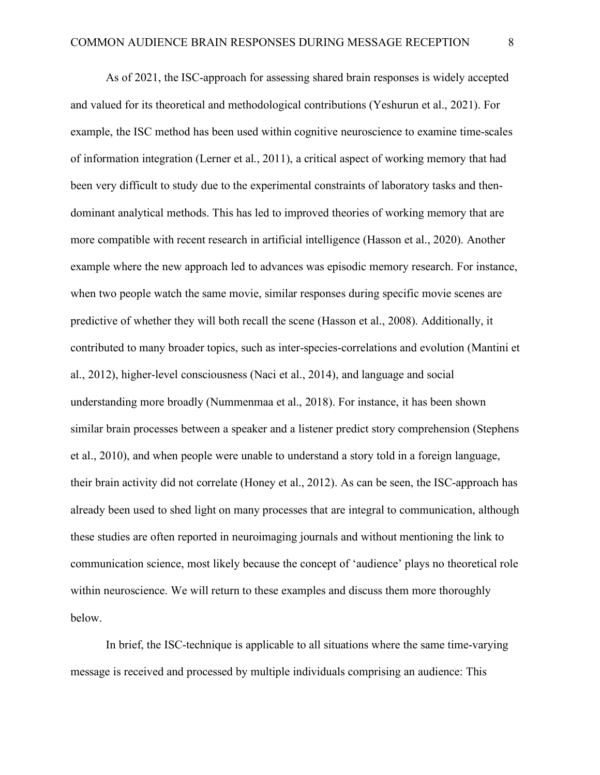As of 2021, the ISC-approach for assessing shared brain responses is widely accepted and valued for its theoretical and methodological contributions (Yeshurun et al., 2021). For example, the ISC method has been used within cognitive neuroscience to examine time-scales of information integration (Lerner et al., 2011), a critical aspect of working memory that had been very difficult to study due to the experimental constraints of laboratory tasks and thendominant analytical methods. This has led to improved theories of working memory that are more compatible with recent research in artificial intelligence (Hasson et al., 2020). Another example where the new approach led to advances was episodic memory research. For instance, when two people watch the same movie, similar responses during specific movie scenes are predictive of whether they will both recall the scene (Hasson et al., 2008). Additionally, it contributed to many broader topics, such as inter-species-correlations and evolution (Mantini et al., 2012), higher-level consciousness (Naci et al., 2014), and language and social understanding more broadly (Nummenmaa et al., 2018). For instance, it has been shown similar brain processes between a speaker and a listener predict story comprehension (Stephens et al., 2010), and when people were unable to understand a story told in a foreign language, their brain activity did not correlate (Honey et al., 2012). As can be seen, the ISC-approach has already been used to shed light on many processes that are integral to communication, although these studies are often reported in neuroimaging journals and without mentioning the link to communication science, most likely because the concept of 'audience' plays no theoretical role within neuroscience. We will return to these examples and discuss them more thoroughly below.

In brief, the ISC-technique is applicable to all situations where the same time-varying message is received and processed by multiple individuals comprising an audience: This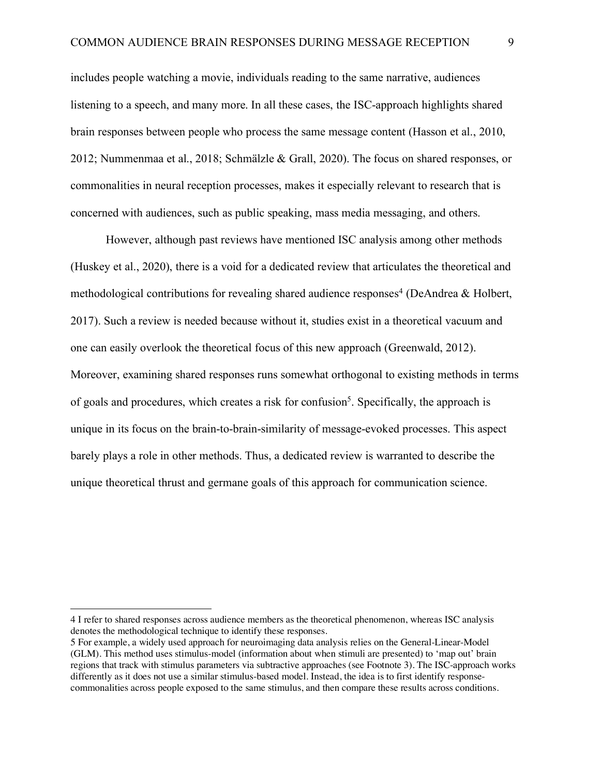includes people watching a movie, individuals reading to the same narrative, audiences listening to a speech, and many more. In all these cases, the ISC-approach highlights shared brain responses between people who process the same message content (Hasson et al., 2010, 2012; Nummenmaa et al., 2018; Schmälzle & Grall, 2020). The focus on shared responses, or commonalities in neural reception processes, makes it especially relevant to research that is concerned with audiences, such as public speaking, mass media messaging, and others.

However, although past reviews have mentioned ISC analysis among other methods (Huskey et al., 2020), there is a void for a dedicated review that articulates the theoretical and methodological contributions for revealing shared audience responses<sup>4</sup> (DeAndrea  $\&$  Holbert, 2017). Such a review is needed because without it, studies exist in a theoretical vacuum and one can easily overlook the theoretical focus of this new approach (Greenwald, 2012). Moreover, examining shared responses runs somewhat orthogonal to existing methods in terms of goals and procedures, which creates a risk for confusion<sup>5</sup>. Specifically, the approach is unique in its focus on the brain-to-brain-similarity of message-evoked processes. This aspect barely plays a role in other methods. Thus, a dedicated review is warranted to describe the unique theoretical thrust and germane goals of this approach for communication science.

 $\overline{a}$ 

<sup>4</sup> I refer to shared responses across audience members as the theoretical phenomenon, whereas ISC analysis denotes the methodological technique to identify these responses.

<sup>5</sup> For example, a widely used approach for neuroimaging data analysis relies on the General-Linear-Model (GLM). This method uses stimulus-model (information about when stimuli are presented) to 'map out' brain regions that track with stimulus parameters via subtractive approaches (see Footnote 3). The ISC-approach works differently as it does not use a similar stimulus-based model. Instead, the idea is to first identify responsecommonalities across people exposed to the same stimulus, and then compare these results across conditions.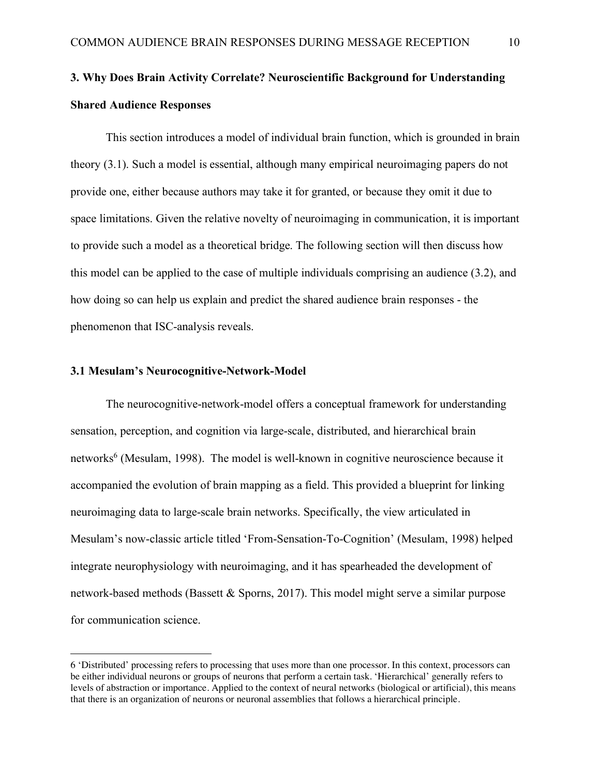# **3. Why Does Brain Activity Correlate? Neuroscientific Background for Understanding Shared Audience Responses**

This section introduces a model of individual brain function, which is grounded in brain theory (3.1). Such a model is essential, although many empirical neuroimaging papers do not provide one, either because authors may take it for granted, or because they omit it due to space limitations. Given the relative novelty of neuroimaging in communication, it is important to provide such a model as a theoretical bridge. The following section will then discuss how this model can be applied to the case of multiple individuals comprising an audience (3.2), and how doing so can help us explain and predict the shared audience brain responses - the phenomenon that ISC-analysis reveals.

#### **3.1 Mesulam's Neurocognitive-Network-Model**

 $\overline{a}$ 

The neurocognitive-network-model offers a conceptual framework for understanding sensation, perception, and cognition via large-scale, distributed, and hierarchical brain networks<sup>6</sup> (Mesulam, 1998). The model is well-known in cognitive neuroscience because it accompanied the evolution of brain mapping as a field. This provided a blueprint for linking neuroimaging data to large-scale brain networks. Specifically, the view articulated in Mesulam's now-classic article titled 'From-Sensation-To-Cognition' (Mesulam, 1998) helped integrate neurophysiology with neuroimaging, and it has spearheaded the development of network-based methods (Bassett & Sporns, 2017). This model might serve a similar purpose for communication science.

<sup>6</sup> 'Distributed' processing refers to processing that uses more than one processor. In this context, processors can be either individual neurons or groups of neurons that perform a certain task. 'Hierarchical' generally refers to levels of abstraction or importance. Applied to the context of neural networks (biological or artificial), this means that there is an organization of neurons or neuronal assemblies that follows a hierarchical principle.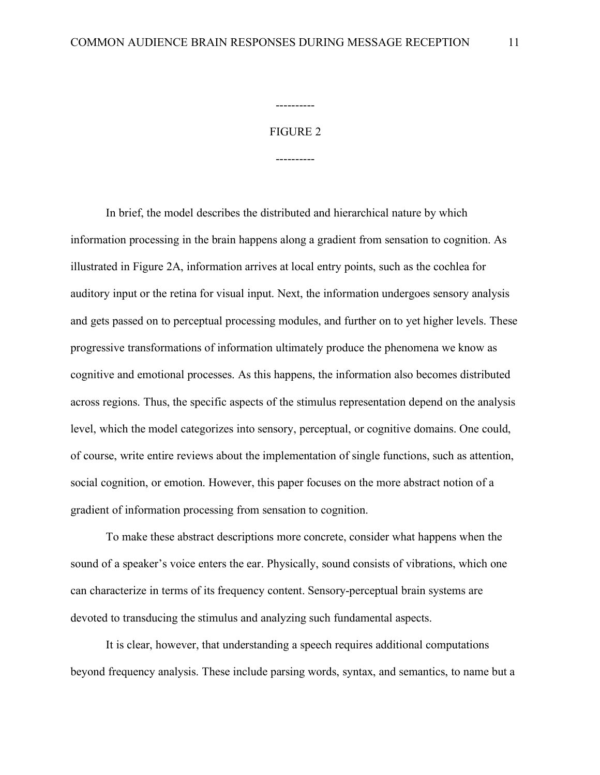# FIGURE 2

----------

----------

In brief, the model describes the distributed and hierarchical nature by which information processing in the brain happens along a gradient from sensation to cognition. As illustrated in Figure 2A, information arrives at local entry points, such as the cochlea for auditory input or the retina for visual input. Next, the information undergoes sensory analysis and gets passed on to perceptual processing modules, and further on to yet higher levels. These progressive transformations of information ultimately produce the phenomena we know as cognitive and emotional processes. As this happens, the information also becomes distributed across regions. Thus, the specific aspects of the stimulus representation depend on the analysis level, which the model categorizes into sensory, perceptual, or cognitive domains. One could, of course, write entire reviews about the implementation of single functions, such as attention, social cognition, or emotion. However, this paper focuses on the more abstract notion of a gradient of information processing from sensation to cognition.

To make these abstract descriptions more concrete, consider what happens when the sound of a speaker's voice enters the ear. Physically, sound consists of vibrations, which one can characterize in terms of its frequency content. Sensory-perceptual brain systems are devoted to transducing the stimulus and analyzing such fundamental aspects.

It is clear, however, that understanding a speech requires additional computations beyond frequency analysis. These include parsing words, syntax, and semantics, to name but a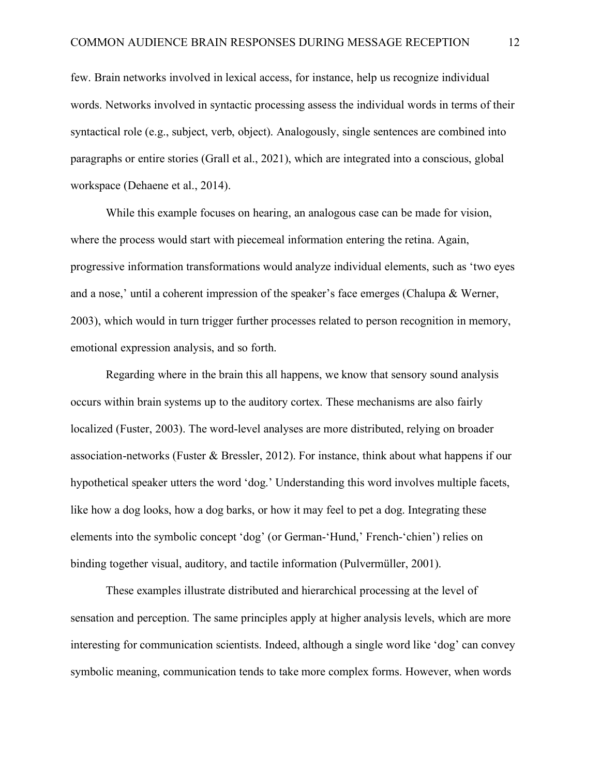few. Brain networks involved in lexical access, for instance, help us recognize individual words. Networks involved in syntactic processing assess the individual words in terms of their syntactical role (e.g., subject, verb, object). Analogously, single sentences are combined into paragraphs or entire stories (Grall et al., 2021), which are integrated into a conscious, global workspace (Dehaene et al., 2014).

While this example focuses on hearing, an analogous case can be made for vision, where the process would start with piecemeal information entering the retina. Again, progressive information transformations would analyze individual elements, such as 'two eyes and a nose,' until a coherent impression of the speaker's face emerges (Chalupa & Werner, 2003), which would in turn trigger further processes related to person recognition in memory, emotional expression analysis, and so forth.

Regarding where in the brain this all happens, we know that sensory sound analysis occurs within brain systems up to the auditory cortex. These mechanisms are also fairly localized (Fuster, 2003). The word-level analyses are more distributed, relying on broader association-networks (Fuster & Bressler, 2012). For instance, think about what happens if our hypothetical speaker utters the word 'dog.' Understanding this word involves multiple facets, like how a dog looks, how a dog barks, or how it may feel to pet a dog. Integrating these elements into the symbolic concept 'dog' (or German-'Hund,' French-'chien') relies on binding together visual, auditory, and tactile information (Pulvermüller, 2001).

These examples illustrate distributed and hierarchical processing at the level of sensation and perception. The same principles apply at higher analysis levels, which are more interesting for communication scientists. Indeed, although a single word like 'dog' can convey symbolic meaning, communication tends to take more complex forms. However, when words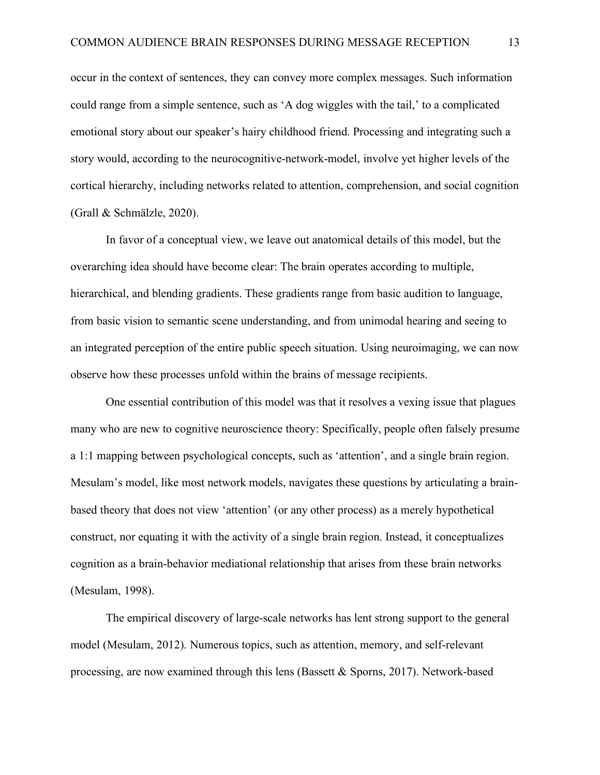occur in the context of sentences, they can convey more complex messages. Such information could range from a simple sentence, such as 'A dog wiggles with the tail,' to a complicated emotional story about our speaker's hairy childhood friend. Processing and integrating such a story would, according to the neurocognitive-network-model, involve yet higher levels of the cortical hierarchy, including networks related to attention, comprehension, and social cognition (Grall & Schmälzle, 2020).

In favor of a conceptual view, we leave out anatomical details of this model, but the overarching idea should have become clear: The brain operates according to multiple, hierarchical, and blending gradients. These gradients range from basic audition to language, from basic vision to semantic scene understanding, and from unimodal hearing and seeing to an integrated perception of the entire public speech situation. Using neuroimaging, we can now observe how these processes unfold within the brains of message recipients.

One essential contribution of this model was that it resolves a vexing issue that plagues many who are new to cognitive neuroscience theory: Specifically, people often falsely presume a 1:1 mapping between psychological concepts, such as 'attention', and a single brain region. Mesulam's model, like most network models, navigates these questions by articulating a brainbased theory that does not view 'attention' (or any other process) as a merely hypothetical construct, nor equating it with the activity of a single brain region. Instead, it conceptualizes cognition as a brain-behavior mediational relationship that arises from these brain networks (Mesulam, 1998).

The empirical discovery of large-scale networks has lent strong support to the general model (Mesulam, 2012). Numerous topics, such as attention, memory, and self-relevant processing, are now examined through this lens (Bassett & Sporns, 2017). Network-based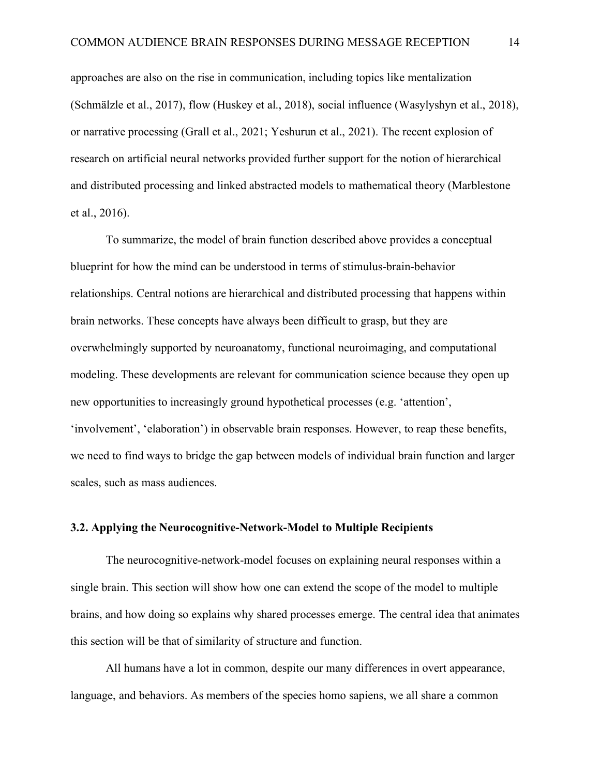approaches are also on the rise in communication, including topics like mentalization (Schmälzle et al., 2017), flow (Huskey et al., 2018), social influence (Wasylyshyn et al., 2018), or narrative processing (Grall et al., 2021; Yeshurun et al., 2021). The recent explosion of research on artificial neural networks provided further support for the notion of hierarchical and distributed processing and linked abstracted models to mathematical theory (Marblestone et al., 2016).

To summarize, the model of brain function described above provides a conceptual blueprint for how the mind can be understood in terms of stimulus-brain-behavior relationships. Central notions are hierarchical and distributed processing that happens within brain networks. These concepts have always been difficult to grasp, but they are overwhelmingly supported by neuroanatomy, functional neuroimaging, and computational modeling. These developments are relevant for communication science because they open up new opportunities to increasingly ground hypothetical processes (e.g. 'attention', 'involvement', 'elaboration') in observable brain responses. However, to reap these benefits, we need to find ways to bridge the gap between models of individual brain function and larger scales, such as mass audiences.

### **3.2. Applying the Neurocognitive-Network-Model to Multiple Recipients**

The neurocognitive-network-model focuses on explaining neural responses within a single brain. This section will show how one can extend the scope of the model to multiple brains, and how doing so explains why shared processes emerge. The central idea that animates this section will be that of similarity of structure and function.

All humans have a lot in common, despite our many differences in overt appearance, language, and behaviors. As members of the species homo sapiens, we all share a common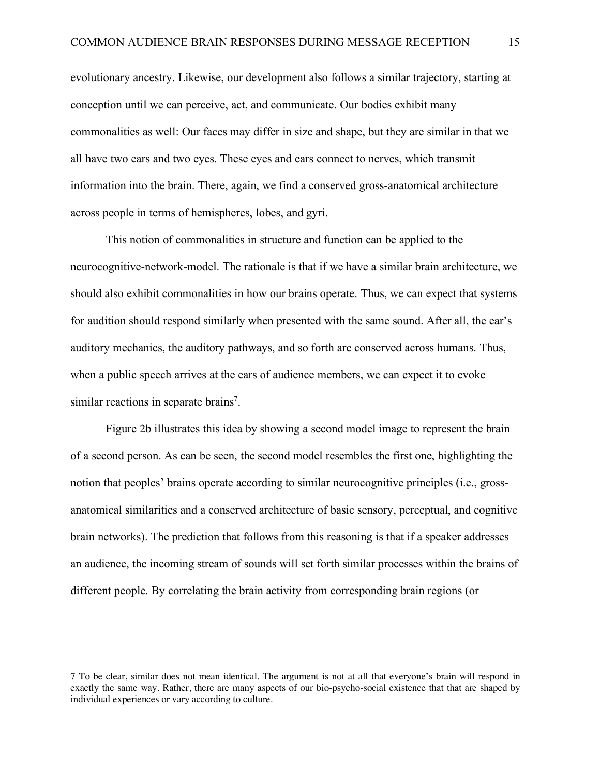evolutionary ancestry. Likewise, our development also follows a similar trajectory, starting at conception until we can perceive, act, and communicate. Our bodies exhibit many commonalities as well: Our faces may differ in size and shape, but they are similar in that we all have two ears and two eyes. These eyes and ears connect to nerves, which transmit information into the brain. There, again, we find a conserved gross-anatomical architecture across people in terms of hemispheres, lobes, and gyri.

This notion of commonalities in structure and function can be applied to the neurocognitive-network-model. The rationale is that if we have a similar brain architecture, we should also exhibit commonalities in how our brains operate. Thus, we can expect that systems for audition should respond similarly when presented with the same sound. After all, the ear's auditory mechanics, the auditory pathways, and so forth are conserved across humans. Thus, when a public speech arrives at the ears of audience members, we can expect it to evoke similar reactions in separate brains<sup>7</sup>.

Figure 2b illustrates this idea by showing a second model image to represent the brain of a second person. As can be seen, the second model resembles the first one, highlighting the notion that peoples' brains operate according to similar neurocognitive principles (i.e., grossanatomical similarities and a conserved architecture of basic sensory, perceptual, and cognitive brain networks). The prediction that follows from this reasoning is that if a speaker addresses an audience, the incoming stream of sounds will set forth similar processes within the brains of different people. By correlating the brain activity from corresponding brain regions (or

 $\overline{a}$ 

<sup>7</sup> To be clear, similar does not mean identical. The argument is not at all that everyone's brain will respond in exactly the same way. Rather, there are many aspects of our bio-psycho-social existence that that are shaped by individual experiences or vary according to culture.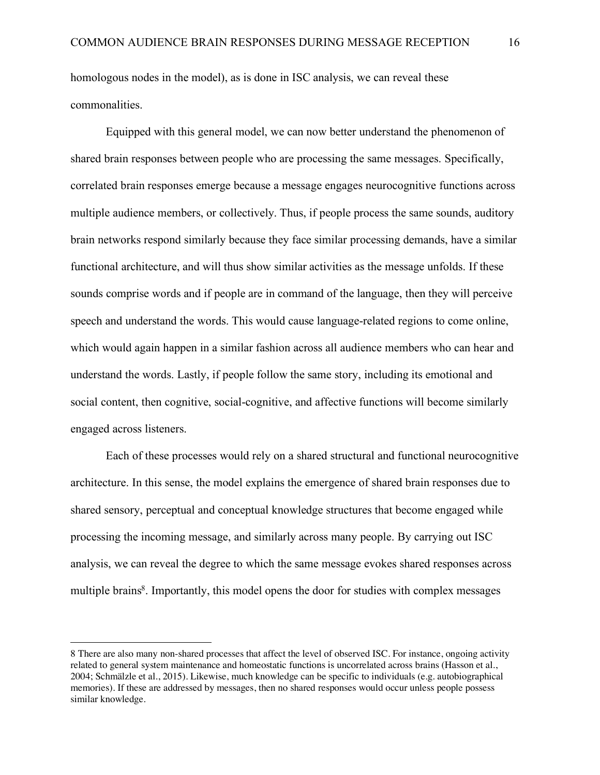homologous nodes in the model), as is done in ISC analysis, we can reveal these commonalities.

Equipped with this general model, we can now better understand the phenomenon of shared brain responses between people who are processing the same messages. Specifically, correlated brain responses emerge because a message engages neurocognitive functions across multiple audience members, or collectively. Thus, if people process the same sounds, auditory brain networks respond similarly because they face similar processing demands, have a similar functional architecture, and will thus show similar activities as the message unfolds. If these sounds comprise words and if people are in command of the language, then they will perceive speech and understand the words. This would cause language-related regions to come online, which would again happen in a similar fashion across all audience members who can hear and understand the words. Lastly, if people follow the same story, including its emotional and social content, then cognitive, social-cognitive, and affective functions will become similarly engaged across listeners.

Each of these processes would rely on a shared structural and functional neurocognitive architecture. In this sense, the model explains the emergence of shared brain responses due to shared sensory, perceptual and conceptual knowledge structures that become engaged while processing the incoming message, and similarly across many people. By carrying out ISC analysis, we can reveal the degree to which the same message evokes shared responses across multiple brains<sup>8</sup>. Importantly, this model opens the door for studies with complex messages

 $\overline{a}$ 

<sup>8</sup> There are also many non-shared processes that affect the level of observed ISC. For instance, ongoing activity related to general system maintenance and homeostatic functions is uncorrelated across brains (Hasson et al., 2004; Schmälzle et al., 2015). Likewise, much knowledge can be specific to individuals (e.g. autobiographical memories). If these are addressed by messages, then no shared responses would occur unless people possess similar knowledge.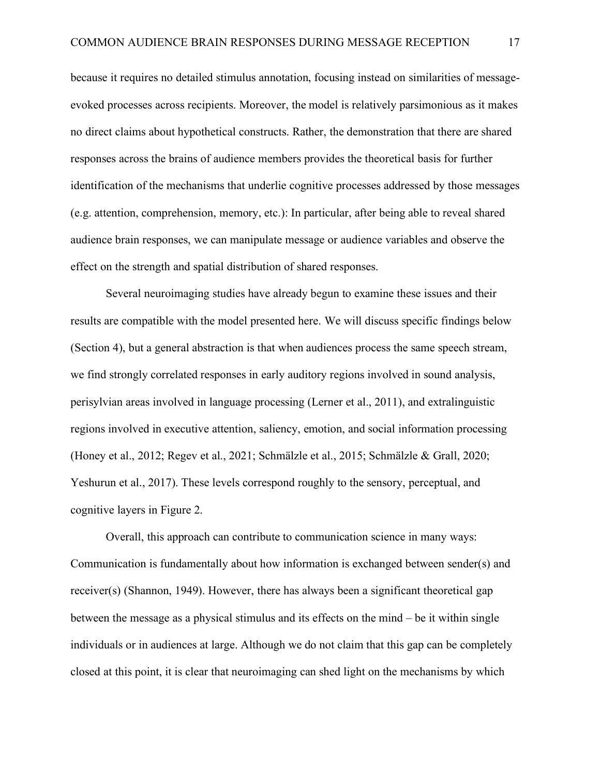because it requires no detailed stimulus annotation, focusing instead on similarities of messageevoked processes across recipients. Moreover, the model is relatively parsimonious as it makes no direct claims about hypothetical constructs. Rather, the demonstration that there are shared responses across the brains of audience members provides the theoretical basis for further identification of the mechanisms that underlie cognitive processes addressed by those messages (e.g. attention, comprehension, memory, etc.): In particular, after being able to reveal shared audience brain responses, we can manipulate message or audience variables and observe the effect on the strength and spatial distribution of shared responses.

Several neuroimaging studies have already begun to examine these issues and their results are compatible with the model presented here. We will discuss specific findings below (Section 4), but a general abstraction is that when audiences process the same speech stream, we find strongly correlated responses in early auditory regions involved in sound analysis, perisylvian areas involved in language processing (Lerner et al., 2011), and extralinguistic regions involved in executive attention, saliency, emotion, and social information processing (Honey et al., 2012; Regev et al., 2021; Schmälzle et al., 2015; Schmälzle & Grall, 2020; Yeshurun et al., 2017). These levels correspond roughly to the sensory, perceptual, and cognitive layers in Figure 2.

Overall, this approach can contribute to communication science in many ways: Communication is fundamentally about how information is exchanged between sender(s) and receiver(s) (Shannon, 1949). However, there has always been a significant theoretical gap between the message as a physical stimulus and its effects on the mind – be it within single individuals or in audiences at large. Although we do not claim that this gap can be completely closed at this point, it is clear that neuroimaging can shed light on the mechanisms by which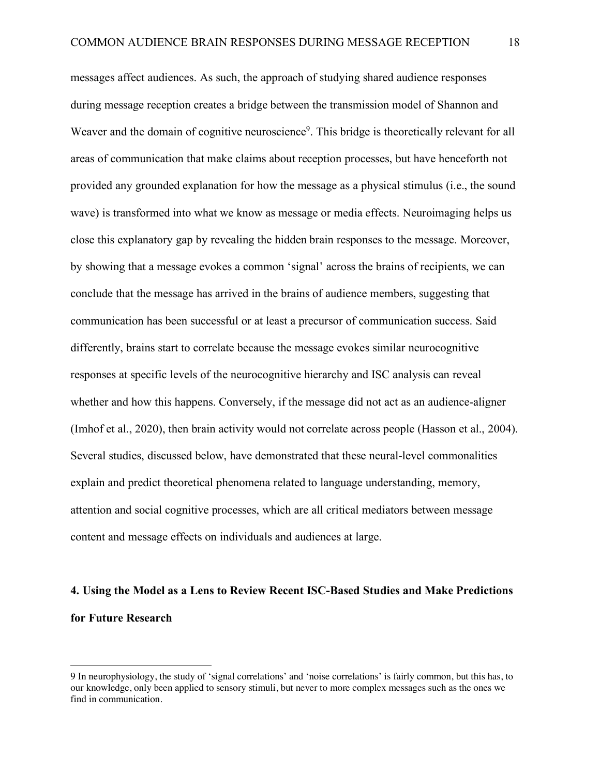messages affect audiences. As such, the approach of studying shared audience responses during message reception creates a bridge between the transmission model of Shannon and Weaver and the domain of cognitive neuroscience<sup>9</sup>. This bridge is theoretically relevant for all areas of communication that make claims about reception processes, but have henceforth not provided any grounded explanation for how the message as a physical stimulus (i.e., the sound wave) is transformed into what we know as message or media effects. Neuroimaging helps us close this explanatory gap by revealing the hidden brain responses to the message. Moreover, by showing that a message evokes a common 'signal' across the brains of recipients, we can conclude that the message has arrived in the brains of audience members, suggesting that communication has been successful or at least a precursor of communication success. Said differently, brains start to correlate because the message evokes similar neurocognitive responses at specific levels of the neurocognitive hierarchy and ISC analysis can reveal whether and how this happens. Conversely, if the message did not act as an audience-aligner (Imhof et al., 2020), then brain activity would not correlate across people (Hasson et al., 2004). Several studies, discussed below, have demonstrated that these neural-level commonalities explain and predict theoretical phenomena related to language understanding, memory, attention and social cognitive processes, which are all critical mediators between message content and message effects on individuals and audiences at large.

# **4. Using the Model as a Lens to Review Recent ISC-Based Studies and Make Predictions for Future Research**

 $\overline{a}$ 

<sup>9</sup> In neurophysiology, the study of 'signal correlations' and 'noise correlations' is fairly common, but this has, to our knowledge, only been applied to sensory stimuli, but never to more complex messages such as the ones we find in communication.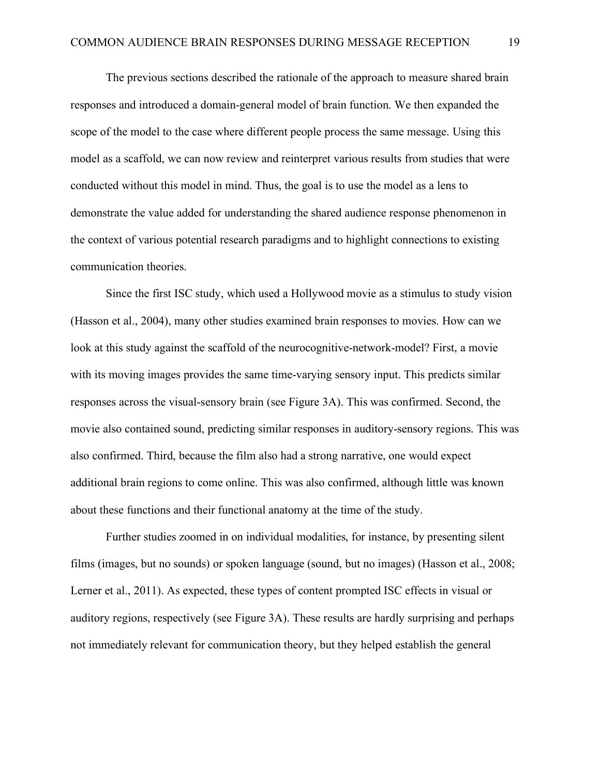The previous sections described the rationale of the approach to measure shared brain responses and introduced a domain-general model of brain function. We then expanded the scope of the model to the case where different people process the same message. Using this model as a scaffold, we can now review and reinterpret various results from studies that were conducted without this model in mind. Thus, the goal is to use the model as a lens to demonstrate the value added for understanding the shared audience response phenomenon in the context of various potential research paradigms and to highlight connections to existing communication theories.

Since the first ISC study, which used a Hollywood movie as a stimulus to study vision (Hasson et al., 2004), many other studies examined brain responses to movies. How can we look at this study against the scaffold of the neurocognitive-network-model? First, a movie with its moving images provides the same time-varying sensory input. This predicts similar responses across the visual-sensory brain (see Figure 3A). This was confirmed. Second, the movie also contained sound, predicting similar responses in auditory-sensory regions. This was also confirmed. Third, because the film also had a strong narrative, one would expect additional brain regions to come online. This was also confirmed, although little was known about these functions and their functional anatomy at the time of the study.

Further studies zoomed in on individual modalities, for instance, by presenting silent films (images, but no sounds) or spoken language (sound, but no images) (Hasson et al., 2008; Lerner et al., 2011). As expected, these types of content prompted ISC effects in visual or auditory regions, respectively (see Figure 3A). These results are hardly surprising and perhaps not immediately relevant for communication theory, but they helped establish the general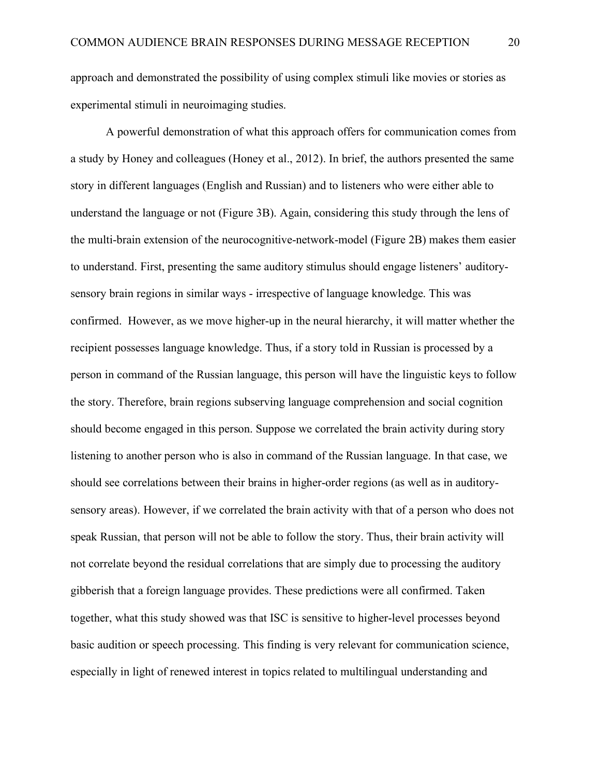approach and demonstrated the possibility of using complex stimuli like movies or stories as experimental stimuli in neuroimaging studies.

A powerful demonstration of what this approach offers for communication comes from a study by Honey and colleagues (Honey et al., 2012). In brief, the authors presented the same story in different languages (English and Russian) and to listeners who were either able to understand the language or not (Figure 3B). Again, considering this study through the lens of the multi-brain extension of the neurocognitive-network-model (Figure 2B) makes them easier to understand. First, presenting the same auditory stimulus should engage listeners' auditorysensory brain regions in similar ways - irrespective of language knowledge. This was confirmed. However, as we move higher-up in the neural hierarchy, it will matter whether the recipient possesses language knowledge. Thus, if a story told in Russian is processed by a person in command of the Russian language, this person will have the linguistic keys to follow the story. Therefore, brain regions subserving language comprehension and social cognition should become engaged in this person. Suppose we correlated the brain activity during story listening to another person who is also in command of the Russian language. In that case, we should see correlations between their brains in higher-order regions (as well as in auditorysensory areas). However, if we correlated the brain activity with that of a person who does not speak Russian, that person will not be able to follow the story. Thus, their brain activity will not correlate beyond the residual correlations that are simply due to processing the auditory gibberish that a foreign language provides. These predictions were all confirmed. Taken together, what this study showed was that ISC is sensitive to higher-level processes beyond basic audition or speech processing. This finding is very relevant for communication science, especially in light of renewed interest in topics related to multilingual understanding and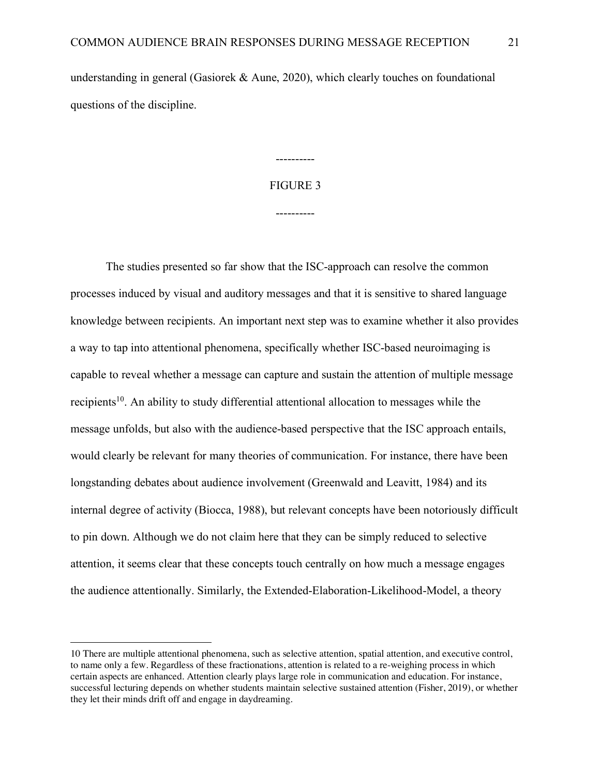understanding in general (Gasiorek & Aune, 2020), which clearly touches on foundational questions of the discipline.

# FIGURE 3

----------

----------

The studies presented so far show that the ISC-approach can resolve the common processes induced by visual and auditory messages and that it is sensitive to shared language knowledge between recipients. An important next step was to examine whether it also provides a way to tap into attentional phenomena, specifically whether ISC-based neuroimaging is capable to reveal whether a message can capture and sustain the attention of multiple message recipients<sup>10</sup>. An ability to study differential attentional allocation to messages while the message unfolds, but also with the audience-based perspective that the ISC approach entails, would clearly be relevant for many theories of communication. For instance, there have been longstanding debates about audience involvement (Greenwald and Leavitt, 1984) and its internal degree of activity (Biocca, 1988), but relevant concepts have been notoriously difficult to pin down. Although we do not claim here that they can be simply reduced to selective attention, it seems clear that these concepts touch centrally on how much a message engages the audience attentionally. Similarly, the Extended-Elaboration-Likelihood-Model, a theory

 $\overline{a}$ 

<sup>10</sup> There are multiple attentional phenomena, such as selective attention, spatial attention, and executive control, to name only a few. Regardless of these fractionations, attention is related to a re-weighing process in which certain aspects are enhanced. Attention clearly plays large role in communication and education. For instance, successful lecturing depends on whether students maintain selective sustained attention (Fisher, 2019), or whether they let their minds drift off and engage in daydreaming.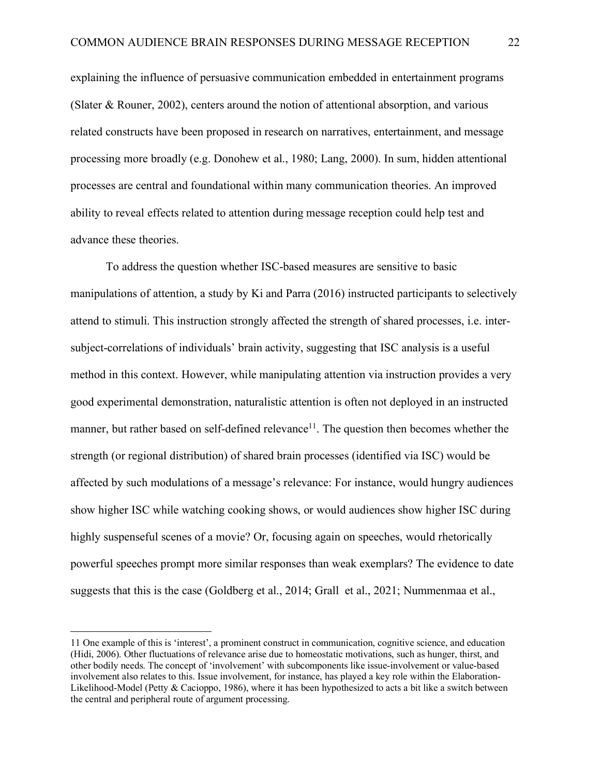explaining the influence of persuasive communication embedded in entertainment programs (Slater & Rouner, 2002), centers around the notion of attentional absorption, and various related constructs have been proposed in research on narratives, entertainment, and message processing more broadly (e.g. Donohew et al., 1980; Lang, 2000). In sum, hidden attentional processes are central and foundational within many communication theories. An improved ability to reveal effects related to attention during message reception could help test and advance these theories.

To address the question whether ISC-based measures are sensitive to basic manipulations of attention, a study by Ki and Parra (2016) instructed participants to selectively attend to stimuli. This instruction strongly affected the strength of shared processes, i.e. intersubject-correlations of individuals' brain activity, suggesting that ISC analysis is a useful method in this context. However, while manipulating attention via instruction provides a very good experimental demonstration, naturalistic attention is often not deployed in an instructed manner, but rather based on self-defined relevance<sup>11</sup>. The question then becomes whether the strength (or regional distribution) of shared brain processes (identified via ISC) would be affected by such modulations of a message's relevance: For instance, would hungry audiences show higher ISC while watching cooking shows, or would audiences show higher ISC during highly suspenseful scenes of a movie? Or, focusing again on speeches, would rhetorically powerful speeches prompt more similar responses than weak exemplars? The evidence to date suggests that this is the case (Goldberg et al., 2014; Grall et al., 2021; Nummenmaa et al.,

 $\overline{a}$ 

<sup>11</sup> One example of this is 'interest', a prominent construct in communication, cognitive science, and education (Hidi, 2006). Other fluctuations of relevance arise due to homeostatic motivations, such as hunger, thirst, and other bodily needs. The concept of 'involvement' with subcomponents like issue-involvement or value-based involvement also relates to this. Issue involvement, for instance, has played a key role within the Elaboration-Likelihood-Model (Petty & Cacioppo, 1986), where it has been hypothesized to acts a bit like a switch between the central and peripheral route of argument processing.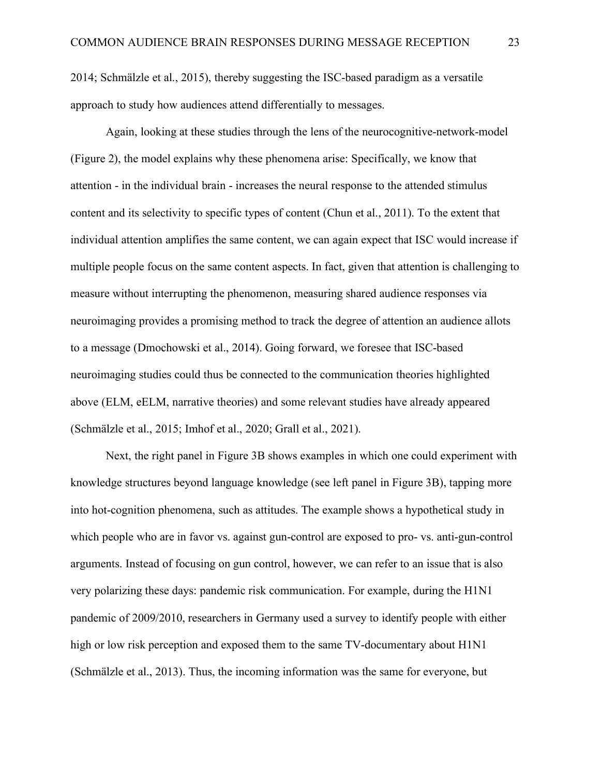2014; Schmälzle et al., 2015), thereby suggesting the ISC-based paradigm as a versatile approach to study how audiences attend differentially to messages.

Again, looking at these studies through the lens of the neurocognitive-network-model (Figure 2), the model explains why these phenomena arise: Specifically, we know that attention - in the individual brain - increases the neural response to the attended stimulus content and its selectivity to specific types of content (Chun et al., 2011). To the extent that individual attention amplifies the same content, we can again expect that ISC would increase if multiple people focus on the same content aspects. In fact, given that attention is challenging to measure without interrupting the phenomenon, measuring shared audience responses via neuroimaging provides a promising method to track the degree of attention an audience allots to a message (Dmochowski et al., 2014). Going forward, we foresee that ISC-based neuroimaging studies could thus be connected to the communication theories highlighted above (ELM, eELM, narrative theories) and some relevant studies have already appeared (Schmälzle et al., 2015; Imhof et al., 2020; Grall et al., 2021).

Next, the right panel in Figure 3B shows examples in which one could experiment with knowledge structures beyond language knowledge (see left panel in Figure 3B), tapping more into hot-cognition phenomena, such as attitudes. The example shows a hypothetical study in which people who are in favor vs. against gun-control are exposed to pro- vs. anti-gun-control arguments. Instead of focusing on gun control, however, we can refer to an issue that is also very polarizing these days: pandemic risk communication. For example, during the H1N1 pandemic of 2009/2010, researchers in Germany used a survey to identify people with either high or low risk perception and exposed them to the same TV-documentary about  $H1N1$ (Schmälzle et al., 2013). Thus, the incoming information was the same for everyone, but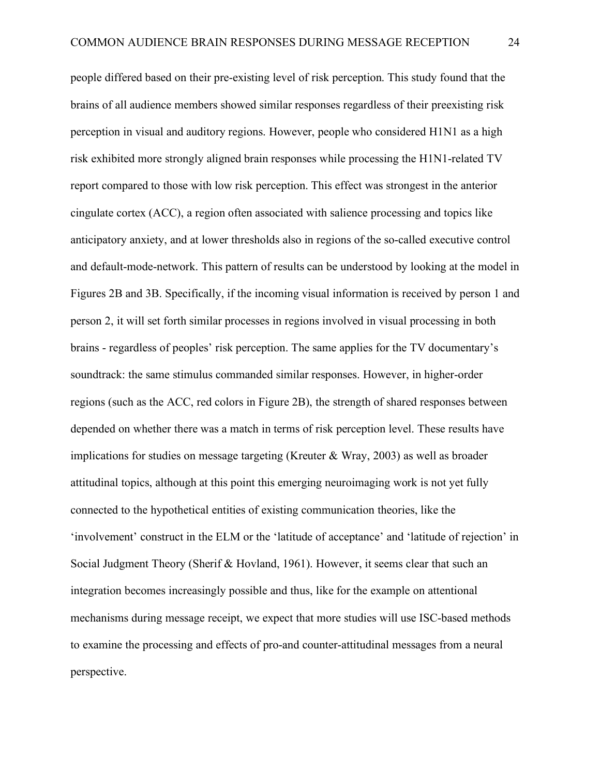people differed based on their pre-existing level of risk perception. This study found that the brains of all audience members showed similar responses regardless of their preexisting risk perception in visual and auditory regions. However, people who considered H1N1 as a high risk exhibited more strongly aligned brain responses while processing the H1N1-related TV report compared to those with low risk perception. This effect was strongest in the anterior cingulate cortex (ACC), a region often associated with salience processing and topics like anticipatory anxiety, and at lower thresholds also in regions of the so-called executive control and default-mode-network. This pattern of results can be understood by looking at the model in Figures 2B and 3B. Specifically, if the incoming visual information is received by person 1 and person 2, it will set forth similar processes in regions involved in visual processing in both brains - regardless of peoples' risk perception. The same applies for the TV documentary's soundtrack: the same stimulus commanded similar responses. However, in higher-order regions (such as the ACC, red colors in Figure 2B), the strength of shared responses between depended on whether there was a match in terms of risk perception level. These results have implications for studies on message targeting (Kreuter & Wray, 2003) as well as broader attitudinal topics, although at this point this emerging neuroimaging work is not yet fully connected to the hypothetical entities of existing communication theories, like the 'involvement' construct in the ELM or the 'latitude of acceptance' and 'latitude of rejection' in Social Judgment Theory (Sherif & Hovland, 1961). However, it seems clear that such an integration becomes increasingly possible and thus, like for the example on attentional mechanisms during message receipt, we expect that more studies will use ISC-based methods to examine the processing and effects of pro-and counter-attitudinal messages from a neural perspective.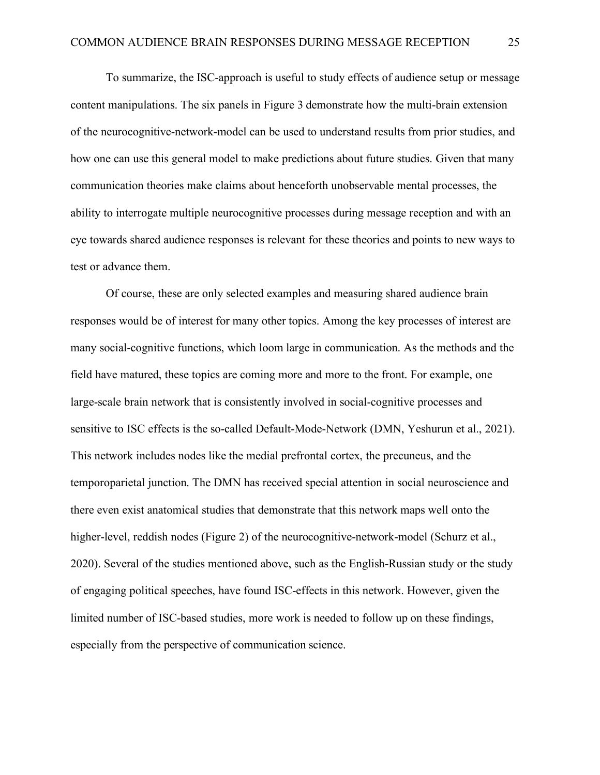To summarize, the ISC-approach is useful to study effects of audience setup or message content manipulations. The six panels in Figure 3 demonstrate how the multi-brain extension of the neurocognitive-network-model can be used to understand results from prior studies, and how one can use this general model to make predictions about future studies. Given that many communication theories make claims about henceforth unobservable mental processes, the ability to interrogate multiple neurocognitive processes during message reception and with an eye towards shared audience responses is relevant for these theories and points to new ways to test or advance them.

Of course, these are only selected examples and measuring shared audience brain responses would be of interest for many other topics. Among the key processes of interest are many social-cognitive functions, which loom large in communication. As the methods and the field have matured, these topics are coming more and more to the front. For example, one large-scale brain network that is consistently involved in social-cognitive processes and sensitive to ISC effects is the so-called Default-Mode-Network (DMN, Yeshurun et al., 2021). This network includes nodes like the medial prefrontal cortex, the precuneus, and the temporoparietal junction. The DMN has received special attention in social neuroscience and there even exist anatomical studies that demonstrate that this network maps well onto the higher-level, reddish nodes (Figure 2) of the neurocognitive-network-model (Schurz et al., 2020). Several of the studies mentioned above, such as the English-Russian study or the study of engaging political speeches, have found ISC-effects in this network. However, given the limited number of ISC-based studies, more work is needed to follow up on these findings, especially from the perspective of communication science.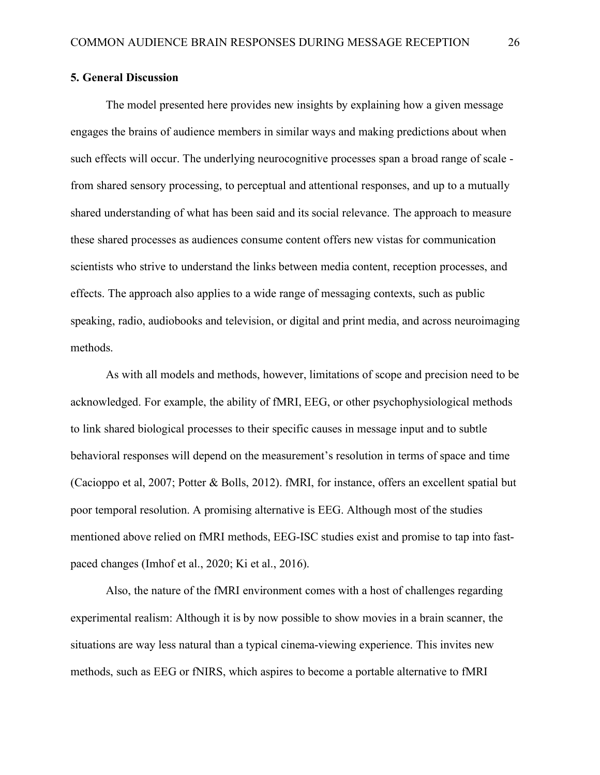### **5. General Discussion**

The model presented here provides new insights by explaining how a given message engages the brains of audience members in similar ways and making predictions about when such effects will occur. The underlying neurocognitive processes span a broad range of scale from shared sensory processing, to perceptual and attentional responses, and up to a mutually shared understanding of what has been said and its social relevance. The approach to measure these shared processes as audiences consume content offers new vistas for communication scientists who strive to understand the links between media content, reception processes, and effects. The approach also applies to a wide range of messaging contexts, such as public speaking, radio, audiobooks and television, or digital and print media, and across neuroimaging methods.

As with all models and methods, however, limitations of scope and precision need to be acknowledged. For example, the ability of fMRI, EEG, or other psychophysiological methods to link shared biological processes to their specific causes in message input and to subtle behavioral responses will depend on the measurement's resolution in terms of space and time (Cacioppo et al, 2007; Potter & Bolls, 2012). fMRI, for instance, offers an excellent spatial but poor temporal resolution. A promising alternative is EEG. Although most of the studies mentioned above relied on fMRI methods, EEG-ISC studies exist and promise to tap into fastpaced changes (Imhof et al., 2020; Ki et al., 2016).

Also, the nature of the fMRI environment comes with a host of challenges regarding experimental realism: Although it is by now possible to show movies in a brain scanner, the situations are way less natural than a typical cinema-viewing experience. This invites new methods, such as EEG or fNIRS, which aspires to become a portable alternative to fMRI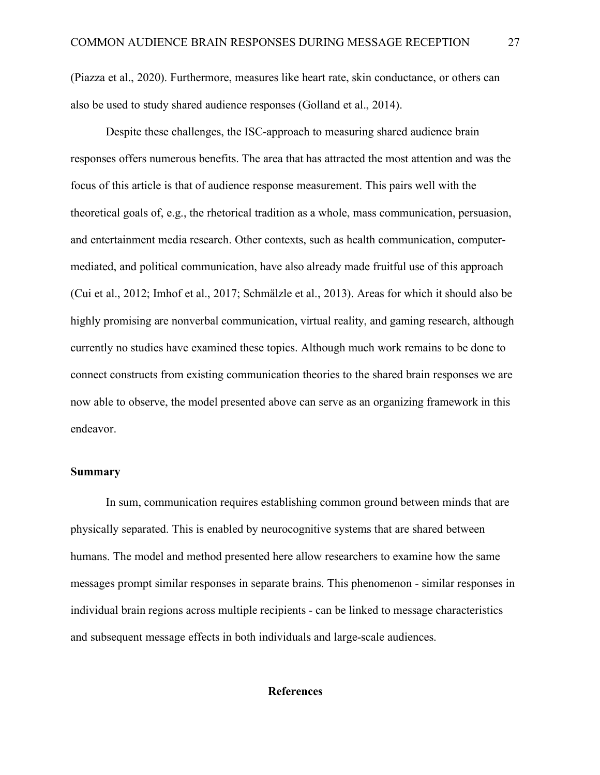(Piazza et al., 2020). Furthermore, measures like heart rate, skin conductance, or others can also be used to study shared audience responses (Golland et al., 2014).

Despite these challenges, the ISC-approach to measuring shared audience brain responses offers numerous benefits. The area that has attracted the most attention and was the focus of this article is that of audience response measurement. This pairs well with the theoretical goals of, e.g., the rhetorical tradition as a whole, mass communication, persuasion, and entertainment media research. Other contexts, such as health communication, computermediated, and political communication, have also already made fruitful use of this approach (Cui et al., 2012; Imhof et al., 2017; Schmälzle et al., 2013). Areas for which it should also be highly promising are nonverbal communication, virtual reality, and gaming research, although currently no studies have examined these topics. Although much work remains to be done to connect constructs from existing communication theories to the shared brain responses we are now able to observe, the model presented above can serve as an organizing framework in this endeavor.

#### **Summary**

In sum, communication requires establishing common ground between minds that are physically separated. This is enabled by neurocognitive systems that are shared between humans. The model and method presented here allow researchers to examine how the same messages prompt similar responses in separate brains. This phenomenon - similar responses in individual brain regions across multiple recipients - can be linked to message characteristics and subsequent message effects in both individuals and large-scale audiences.

### **References**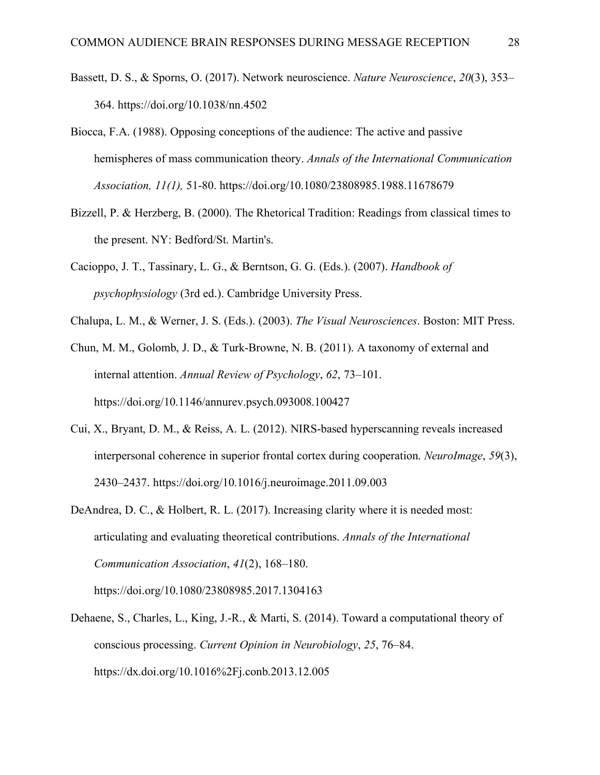- Bassett, D. S., & Sporns, O. (2017). Network neuroscience. *Nature Neuroscience*, *20*(3), 353– 364. https://doi.org/10.1038/nn.4502
- Biocca, F.A. (1988). Opposing conceptions of the audience: The active and passive hemispheres of mass communication theory. *Annals of the International Communication Association, 11(1),* 51-80. https://doi.org/10.1080/23808985.1988.11678679
- Bizzell, P. & Herzberg, B. (2000). The Rhetorical Tradition: Readings from classical times to the present. NY: Bedford/St. Martin's.
- Cacioppo, J. T., Tassinary, L. G., & Berntson, G. G. (Eds.). (2007). *Handbook of psychophysiology* (3rd ed.). Cambridge University Press.
- Chalupa, L. M., & Werner, J. S. (Eds.). (2003). *The Visual Neurosciences*. Boston: MIT Press.

Chun, M. M., Golomb, J. D., & Turk-Browne, N. B. (2011). A taxonomy of external and internal attention. *Annual Review of Psychology*, *62*, 73–101. https://doi.org/10.1146/annurev.psych.093008.100427

- Cui, X., Bryant, D. M., & Reiss, A. L. (2012). NIRS-based hyperscanning reveals increased interpersonal coherence in superior frontal cortex during cooperation. *NeuroImage*, *59*(3), 2430–2437. https://doi.org/10.1016/j.neuroimage.2011.09.003
- DeAndrea, D. C., & Holbert, R. L. (2017). Increasing clarity where it is needed most: articulating and evaluating theoretical contributions. *Annals of the International Communication Association*, *41*(2), 168–180.

https://doi.org/10.1080/23808985.2017.1304163

Dehaene, S., Charles, L., King, J.-R., & Marti, S. (2014). Toward a computational theory of conscious processing. *Current Opinion in Neurobiology*, *25*, 76–84. https://dx.doi.org/10.1016%2Fj.conb.2013.12.005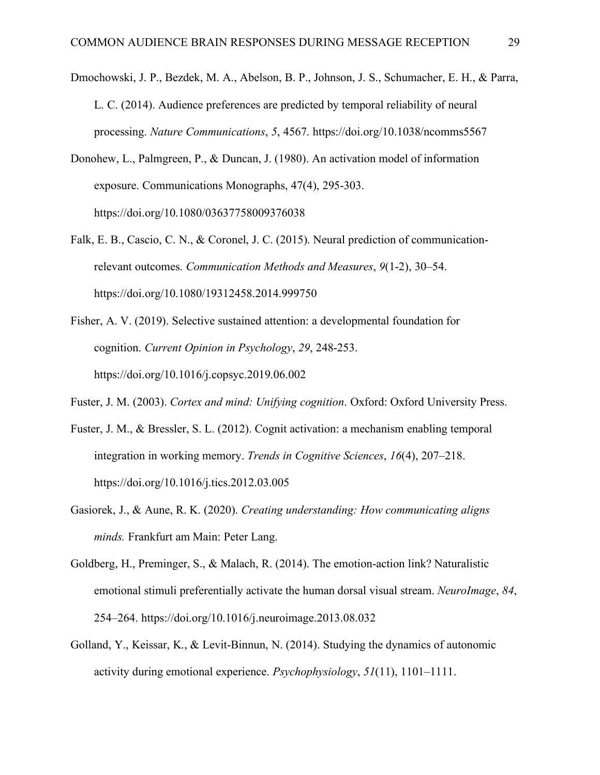- Dmochowski, J. P., Bezdek, M. A., Abelson, B. P., Johnson, J. S., Schumacher, E. H., & Parra, L. C. (2014). Audience preferences are predicted by temporal reliability of neural processing. *Nature Communications*, *5*, 4567. https://doi.org/10.1038/ncomms5567
- Donohew, L., Palmgreen, P., & Duncan, J. (1980). An activation model of information exposure. Communications Monographs, 47(4), 295-303. https://doi.org/10.1080/03637758009376038
- Falk, E. B., Cascio, C. N., & Coronel, J. C. (2015). Neural prediction of communicationrelevant outcomes. *Communication Methods and Measures*, *9*(1-2), 30–54. https://doi.org/10.1080/19312458.2014.999750
- Fisher, A. V. (2019). Selective sustained attention: a developmental foundation for cognition. *Current Opinion in Psychology*, *29*, 248-253. https://doi.org/10.1016/j.copsyc.2019.06.002
- Fuster, J. M. (2003). *Cortex and mind: Unifying cognition*. Oxford: Oxford University Press.
- Fuster, J. M., & Bressler, S. L. (2012). Cognit activation: a mechanism enabling temporal integration in working memory. *Trends in Cognitive Sciences*, *16*(4), 207–218. https://doi.org/10.1016/j.tics.2012.03.005
- Gasiorek, J., & Aune, R. K. (2020). *Creating understanding: How communicating aligns minds.* Frankfurt am Main: Peter Lang.
- Goldberg, H., Preminger, S., & Malach, R. (2014). The emotion-action link? Naturalistic emotional stimuli preferentially activate the human dorsal visual stream. *NeuroImage*, *84*, 254–264. https://doi.org/10.1016/j.neuroimage.2013.08.032
- Golland, Y., Keissar, K., & Levit-Binnun, N. (2014). Studying the dynamics of autonomic activity during emotional experience. *Psychophysiology*, *51*(11), 1101–1111.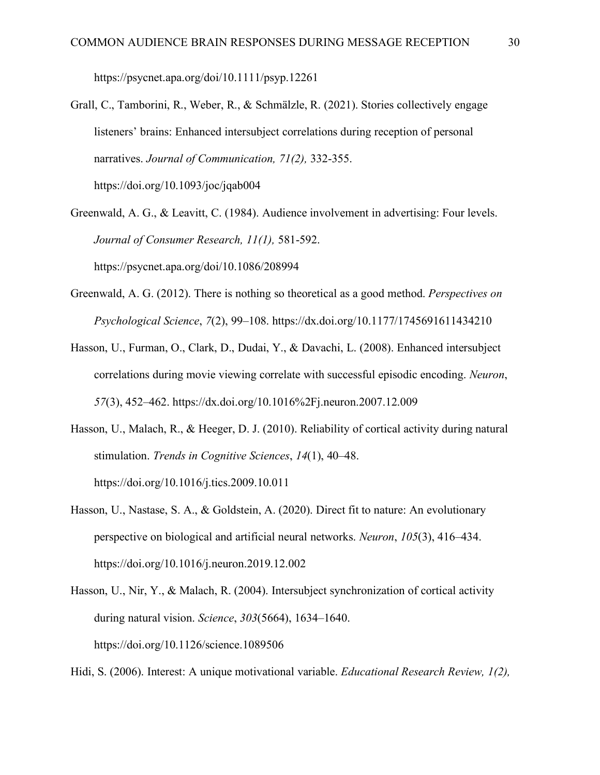https://psycnet.apa.org/doi/10.1111/psyp.12261

- Grall, C., Tamborini, R., Weber, R., & Schmälzle, R. (2021). Stories collectively engage listeners' brains: Enhanced intersubject correlations during reception of personal narratives. *Journal of Communication, 71(2),* 332-355. https://doi.org/10.1093/joc/jqab004
- Greenwald, A. G., & Leavitt, C. (1984). Audience involvement in advertising: Four levels. *Journal of Consumer Research, 11(1),* 581-592. https://psycnet.apa.org/doi/10.1086/208994
- Greenwald, A. G. (2012). There is nothing so theoretical as a good method. *Perspectives on Psychological Science*, *7*(2), 99–108. https://dx.doi.org/10.1177/1745691611434210
- Hasson, U., Furman, O., Clark, D., Dudai, Y., & Davachi, L. (2008). Enhanced intersubject correlations during movie viewing correlate with successful episodic encoding. *Neuron*, *57*(3), 452–462. https://dx.doi.org/10.1016%2Fj.neuron.2007.12.009
- Hasson, U., Malach, R., & Heeger, D. J. (2010). Reliability of cortical activity during natural stimulation. *Trends in Cognitive Sciences*, *14*(1), 40–48. https://doi.org/10.1016/j.tics.2009.10.011
- Hasson, U., Nastase, S. A., & Goldstein, A. (2020). Direct fit to nature: An evolutionary perspective on biological and artificial neural networks. *Neuron*, *105*(3), 416–434. https://doi.org/10.1016/j.neuron.2019.12.002
- Hasson, U., Nir, Y., & Malach, R. (2004). Intersubject synchronization of cortical activity during natural vision. *Science*, *303*(5664), 1634–1640. https://doi.org/10.1126/science.1089506

Hidi, S. (2006). Interest: A unique motivational variable. *Educational Research Review, 1(2),*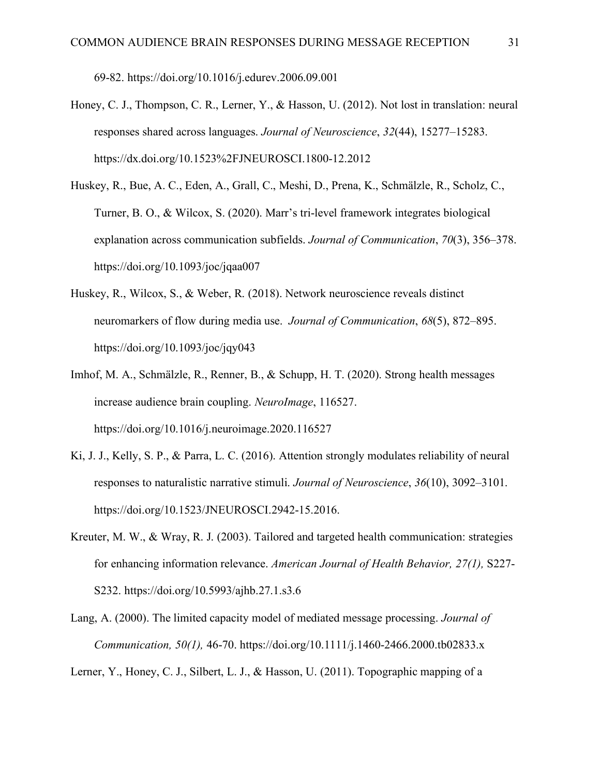69-82. https://doi.org/10.1016/j.edurev.2006.09.001

- Honey, C. J., Thompson, C. R., Lerner, Y., & Hasson, U. (2012). Not lost in translation: neural responses shared across languages. *Journal of Neuroscience*, *32*(44), 15277–15283. https://dx.doi.org/10.1523%2FJNEUROSCI.1800-12.2012
- Huskey, R., Bue, A. C., Eden, A., Grall, C., Meshi, D., Prena, K., Schmälzle, R., Scholz, C., Turner, B. O., & Wilcox, S. (2020). Marr's tri-level framework integrates biological explanation across communication subfields. *Journal of Communication*, *70*(3), 356–378. https://doi.org/10.1093/joc/jqaa007
- Huskey, R., Wilcox, S., & Weber, R. (2018). Network neuroscience reveals distinct neuromarkers of flow during media use. *Journal of Communication*, *68*(5), 872–895. https://doi.org/10.1093/joc/jqy043
- Imhof, M. A., Schmälzle, R., Renner, B., & Schupp, H. T. (2020). Strong health messages increase audience brain coupling. *NeuroImage*, 116527. https://doi.org/10.1016/j.neuroimage.2020.116527
- Ki, J. J., Kelly, S. P., & Parra, L. C. (2016). Attention strongly modulates reliability of neural responses to naturalistic narrative stimuli. *Journal of Neuroscience*, *36*(10), 3092–3101. https://doi.org/10.1523/JNEUROSCI.2942-15.2016.
- Kreuter, M. W., & Wray, R. J. (2003). Tailored and targeted health communication: strategies for enhancing information relevance. *American Journal of Health Behavior, 27(1),* S227- S232. https://doi.org/10.5993/ajhb.27.1.s3.6
- Lang, A. (2000). The limited capacity model of mediated message processing. *Journal of Communication, 50(1),* 46-70. https://doi.org/10.1111/j.1460-2466.2000.tb02833.x

Lerner, Y., Honey, C. J., Silbert, L. J., & Hasson, U. (2011). Topographic mapping of a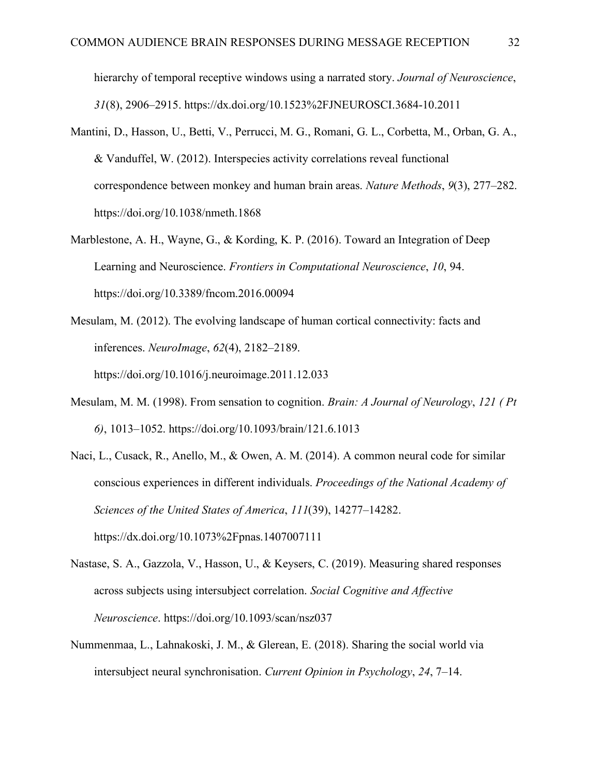hierarchy of temporal receptive windows using a narrated story. *Journal of Neuroscience*, *31*(8), 2906–2915. https://dx.doi.org/10.1523%2FJNEUROSCI.3684-10.2011

- Mantini, D., Hasson, U., Betti, V., Perrucci, M. G., Romani, G. L., Corbetta, M., Orban, G. A., & Vanduffel, W. (2012). Interspecies activity correlations reveal functional correspondence between monkey and human brain areas. *Nature Methods*, *9*(3), 277–282. https://doi.org/10.1038/nmeth.1868
- Marblestone, A. H., Wayne, G., & Kording, K. P. (2016). Toward an Integration of Deep Learning and Neuroscience. *Frontiers in Computational Neuroscience*, *10*, 94. https://doi.org/10.3389/fncom.2016.00094
- Mesulam, M. (2012). The evolving landscape of human cortical connectivity: facts and inferences. *NeuroImage*, *62*(4), 2182–2189. https://doi.org/10.1016/j.neuroimage.2011.12.033
- Mesulam, M. M. (1998). From sensation to cognition. *Brain: A Journal of Neurology*, *121 ( Pt 6)*, 1013–1052. https://doi.org/10.1093/brain/121.6.1013
- Naci, L., Cusack, R., Anello, M., & Owen, A. M. (2014). A common neural code for similar conscious experiences in different individuals. *Proceedings of the National Academy of Sciences of the United States of America*, *111*(39), 14277–14282. https://dx.doi.org/10.1073%2Fpnas.1407007111
- Nastase, S. A., Gazzola, V., Hasson, U., & Keysers, C. (2019). Measuring shared responses across subjects using intersubject correlation. *Social Cognitive and Affective Neuroscience*. https://doi.org/10.1093/scan/nsz037
- Nummenmaa, L., Lahnakoski, J. M., & Glerean, E. (2018). Sharing the social world via intersubject neural synchronisation. *Current Opinion in Psychology*, *24*, 7–14.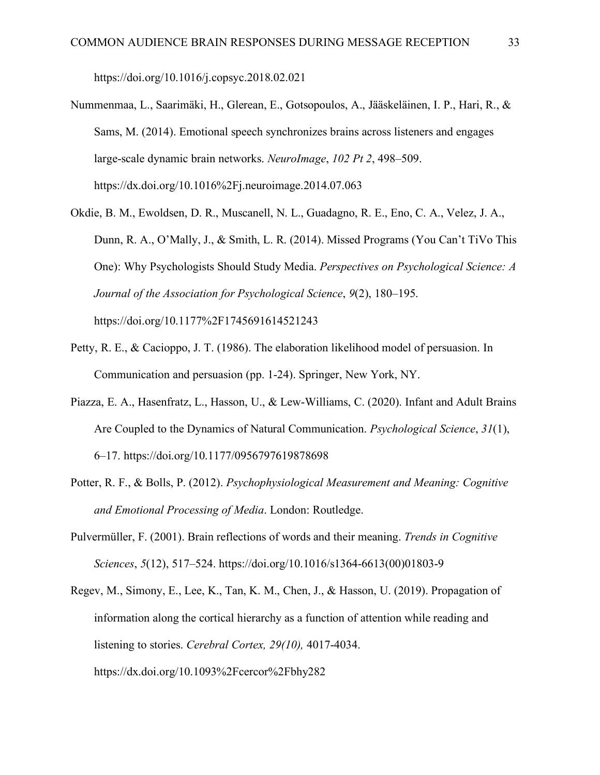https://doi.org/10.1016/j.copsyc.2018.02.021

- Nummenmaa, L., Saarimäki, H., Glerean, E., Gotsopoulos, A., Jääskeläinen, I. P., Hari, R., & Sams, M. (2014). Emotional speech synchronizes brains across listeners and engages large-scale dynamic brain networks. *NeuroImage*, *102 Pt 2*, 498–509. https://dx.doi.org/10.1016%2Fj.neuroimage.2014.07.063
- Okdie, B. M., Ewoldsen, D. R., Muscanell, N. L., Guadagno, R. E., Eno, C. A., Velez, J. A., Dunn, R. A., O'Mally, J., & Smith, L. R. (2014). Missed Programs (You Can't TiVo This One): Why Psychologists Should Study Media. *Perspectives on Psychological Science: A Journal of the Association for Psychological Science*, *9*(2), 180–195. https://doi.org/10.1177%2F1745691614521243
- Petty, R. E., & Cacioppo, J. T. (1986). The elaboration likelihood model of persuasion. In Communication and persuasion (pp. 1-24). Springer, New York, NY.
- Piazza, E. A., Hasenfratz, L., Hasson, U., & Lew-Williams, C. (2020). Infant and Adult Brains Are Coupled to the Dynamics of Natural Communication. *Psychological Science*, *31*(1), 6–17. https://doi.org/10.1177/0956797619878698
- Potter, R. F., & Bolls, P. (2012). *Psychophysiological Measurement and Meaning: Cognitive and Emotional Processing of Media*. London: Routledge.
- Pulvermüller, F. (2001). Brain reflections of words and their meaning. *Trends in Cognitive Sciences*, *5*(12), 517–524. https://doi.org/10.1016/s1364-6613(00)01803-9
- Regev, M., Simony, E., Lee, K., Tan, K. M., Chen, J., & Hasson, U. (2019). Propagation of information along the cortical hierarchy as a function of attention while reading and listening to stories. *Cerebral Cortex, 29(10),* 4017-4034. https://dx.doi.org/10.1093%2Fcercor%2Fbhy282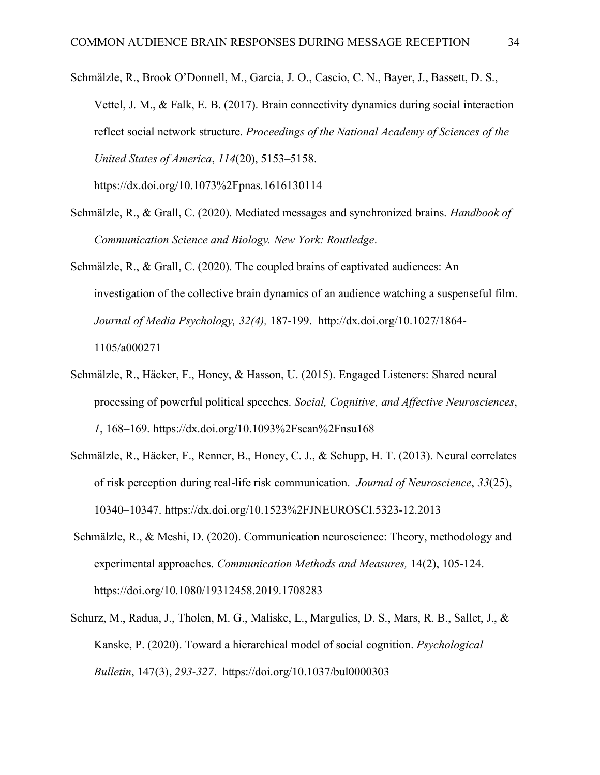Schmälzle, R., Brook O'Donnell, M., Garcia, J. O., Cascio, C. N., Bayer, J., Bassett, D. S., Vettel, J. M., & Falk, E. B. (2017). Brain connectivity dynamics during social interaction reflect social network structure. *Proceedings of the National Academy of Sciences of the United States of America*, *114*(20), 5153–5158. https://dx.doi.org/10.1073%2Fpnas.1616130114

- Schmälzle, R., & Grall, C. (2020). Mediated messages and synchronized brains. *Handbook of Communication Science and Biology. New York: Routledge*.
- Schmälzle, R., & Grall, C. (2020). The coupled brains of captivated audiences: An investigation of the collective brain dynamics of an audience watching a suspenseful film. *Journal of Media Psychology, 32(4),* 187-199. http://dx.doi.org/10.1027/1864- 1105/a000271
- Schmälzle, R., Häcker, F., Honey, & Hasson, U. (2015). Engaged Listeners: Shared neural processing of powerful political speeches. *Social, Cognitive, and Affective Neurosciences*, *1*, 168–169. https://dx.doi.org/10.1093%2Fscan%2Fnsu168
- Schmälzle, R., Häcker, F., Renner, B., Honey, C. J., & Schupp, H. T. (2013). Neural correlates of risk perception during real-life risk communication. *Journal of Neuroscience*, *33*(25), 10340–10347. https://dx.doi.org/10.1523%2FJNEUROSCI.5323-12.2013
- Schmälzle, R., & Meshi, D. (2020). Communication neuroscience: Theory, methodology and experimental approaches. *Communication Methods and Measures,* 14(2), 105-124. https://doi.org/10.1080/19312458.2019.1708283
- Schurz, M., Radua, J., Tholen, M. G., Maliske, L., Margulies, D. S., Mars, R. B., Sallet, J., & Kanske, P. (2020). Toward a hierarchical model of social cognition. *Psychological Bulletin*, 147(3), *293-327.* https://doi.org/10.1037/bul0000303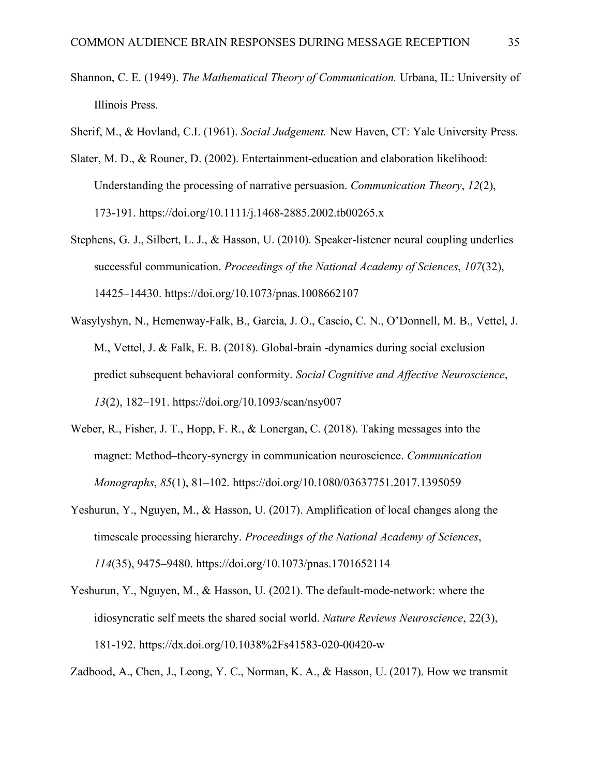- Shannon, C. E. (1949). *The Mathematical Theory of Communication.* Urbana, IL: University of Illinois Press.
- Sherif, M., & Hovland, C.I. (1961). *Social Judgement.* New Haven, CT: Yale University Press.
- Slater, M. D., & Rouner, D. (2002). Entertainment-education and elaboration likelihood: Understanding the processing of narrative persuasion. *Communication Theory*, *12*(2), 173-191. https://doi.org/10.1111/j.1468-2885.2002.tb00265.x
- Stephens, G. J., Silbert, L. J., & Hasson, U. (2010). Speaker-listener neural coupling underlies successful communication. *Proceedings of the National Academy of Sciences*, *107*(32), 14425–14430. https://doi.org/10.1073/pnas.1008662107
- Wasylyshyn, N., Hemenway-Falk, B., Garcia, J. O., Cascio, C. N., O'Donnell, M. B., Vettel, J. M., Vettel, J. & Falk, E. B. (2018). Global-brain -dynamics during social exclusion predict subsequent behavioral conformity. *Social Cognitive and Affective Neuroscience*, *13*(2), 182–191. https://doi.org/10.1093/scan/nsy007
- Weber, R., Fisher, J. T., Hopp, F. R., & Lonergan, C. (2018). Taking messages into the magnet: Method–theory-synergy in communication neuroscience. *Communication Monographs*, *85*(1), 81–102. https://doi.org/10.1080/03637751.2017.1395059
- Yeshurun, Y., Nguyen, M., & Hasson, U. (2017). Amplification of local changes along the timescale processing hierarchy. *Proceedings of the National Academy of Sciences*, *114*(35), 9475–9480. https://doi.org/10.1073/pnas.1701652114
- Yeshurun, Y., Nguyen, M., & Hasson, U. (2021). The default-mode-network: where the idiosyncratic self meets the shared social world. *Nature Reviews Neuroscience*, 22(3), 181-192. https://dx.doi.org/10.1038%2Fs41583-020-00420-w

Zadbood, A., Chen, J., Leong, Y. C., Norman, K. A., & Hasson, U. (2017). How we transmit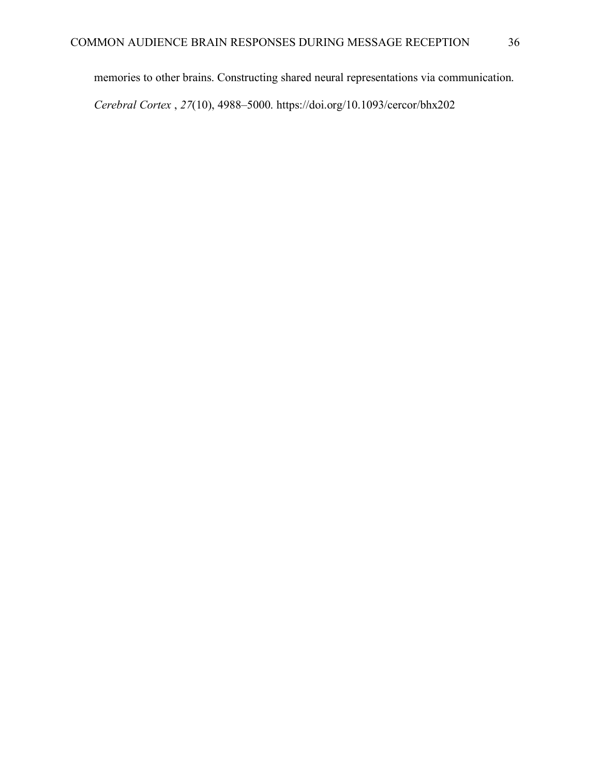memories to other brains. Constructing shared neural representations via communication.

*Cerebral Cortex* , *27*(10), 4988–5000. https://doi.org/10.1093/cercor/bhx202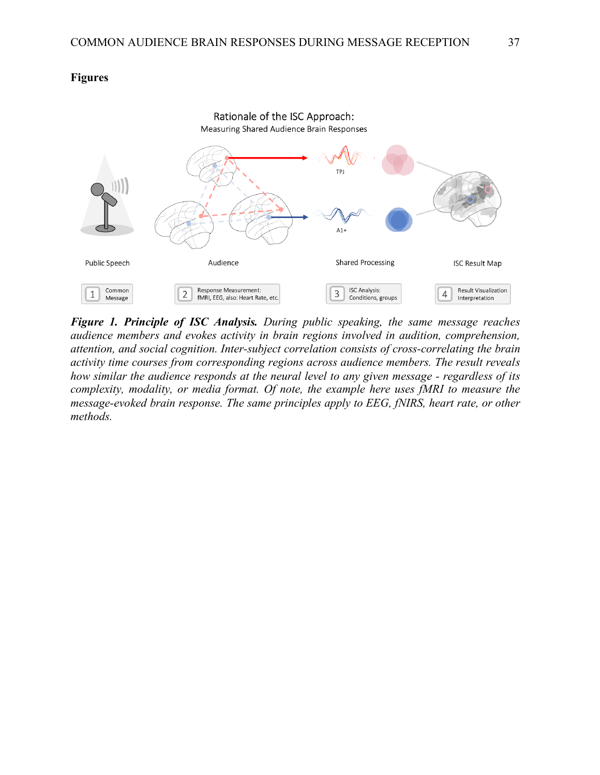### **Figures**



*Figure 1. Principle of ISC Analysis. During public speaking, the same message reaches audience members and evokes activity in brain regions involved in audition, comprehension, attention, and social cognition. Inter-subject correlation consists of cross-correlating the brain activity time courses from corresponding regions across audience members. The result reveals how similar the audience responds at the neural level to any given message - regardless of its complexity, modality, or media format. Of note, the example here uses fMRI to measure the message-evoked brain response. The same principles apply to EEG, fNIRS, heart rate, or other methods.*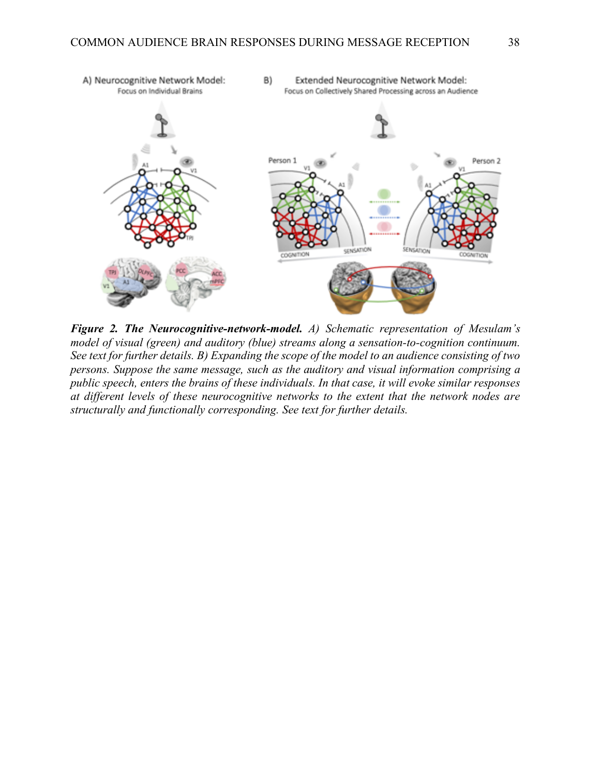

*Figure 2. The Neurocognitive-network-model. A) Schematic representation of Mesulam's model of visual (green) and auditory (blue) streams along a sensation-to-cognition continuum. See text for further details. B) Expanding the scope of the model to an audience consisting of two persons. Suppose the same message, such as the auditory and visual information comprising a public speech, enters the brains of these individuals. In that case, it will evoke similar responses at different levels of these neurocognitive networks to the extent that the network nodes are structurally and functionally corresponding. See text for further details.*